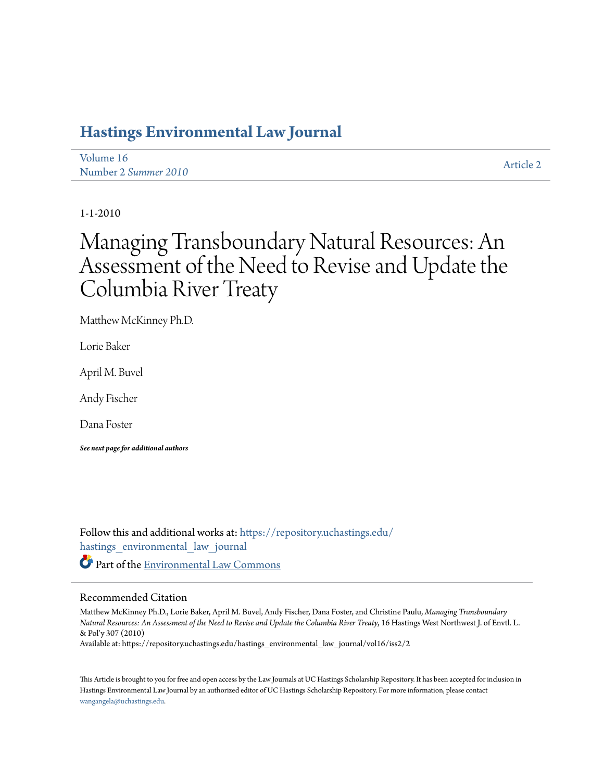# **[Hastings Environmental Law Journal](https://repository.uchastings.edu/hastings_environmental_law_journal?utm_source=repository.uchastings.edu%2Fhastings_environmental_law_journal%2Fvol16%2Fiss2%2F2&utm_medium=PDF&utm_campaign=PDFCoverPages)**

[Volume 16](https://repository.uchastings.edu/hastings_environmental_law_journal/vol16?utm_source=repository.uchastings.edu%2Fhastings_environmental_law_journal%2Fvol16%2Fiss2%2F2&utm_medium=PDF&utm_campaign=PDFCoverPages) Number 2 *[Summer 2010](https://repository.uchastings.edu/hastings_environmental_law_journal/vol16/iss2?utm_source=repository.uchastings.edu%2Fhastings_environmental_law_journal%2Fvol16%2Fiss2%2F2&utm_medium=PDF&utm_campaign=PDFCoverPages)* [Article 2](https://repository.uchastings.edu/hastings_environmental_law_journal/vol16/iss2/2?utm_source=repository.uchastings.edu%2Fhastings_environmental_law_journal%2Fvol16%2Fiss2%2F2&utm_medium=PDF&utm_campaign=PDFCoverPages)

1-1-2010

# Managing Transboundary Natural Resources: An Assessment of the Need to Revise and Update the Columbia River Treaty

Matthew McKinney Ph.D.

Lorie Baker

April M. Buvel

Andy Fischer

Dana Foster

*See next page for additional authors*

Follow this and additional works at: [https://repository.uchastings.edu/](https://repository.uchastings.edu/hastings_environmental_law_journal?utm_source=repository.uchastings.edu%2Fhastings_environmental_law_journal%2Fvol16%2Fiss2%2F2&utm_medium=PDF&utm_campaign=PDFCoverPages) [hastings\\_environmental\\_law\\_journal](https://repository.uchastings.edu/hastings_environmental_law_journal?utm_source=repository.uchastings.edu%2Fhastings_environmental_law_journal%2Fvol16%2Fiss2%2F2&utm_medium=PDF&utm_campaign=PDFCoverPages) Part of the [Environmental Law Commons](http://network.bepress.com/hgg/discipline/599?utm_source=repository.uchastings.edu%2Fhastings_environmental_law_journal%2Fvol16%2Fiss2%2F2&utm_medium=PDF&utm_campaign=PDFCoverPages)

## Recommended Citation

Matthew McKinney Ph.D., Lorie Baker, April M. Buvel, Andy Fischer, Dana Foster, and Christine Paulu, *Managing Transboundary Natural Resources: An Assessment of the Need to Revise and Update the Columbia River Treaty*, 16 Hastings West Northwest J. of Envtl. L. & Pol'y 307 (2010)

Available at: https://repository.uchastings.edu/hastings\_environmental\_law\_journal/vol16/iss2/2

This Article is brought to you for free and open access by the Law Journals at UC Hastings Scholarship Repository. It has been accepted for inclusion in Hastings Environmental Law Journal by an authorized editor of UC Hastings Scholarship Repository. For more information, please contact [wangangela@uchastings.edu](mailto:wangangela@uchastings.edu).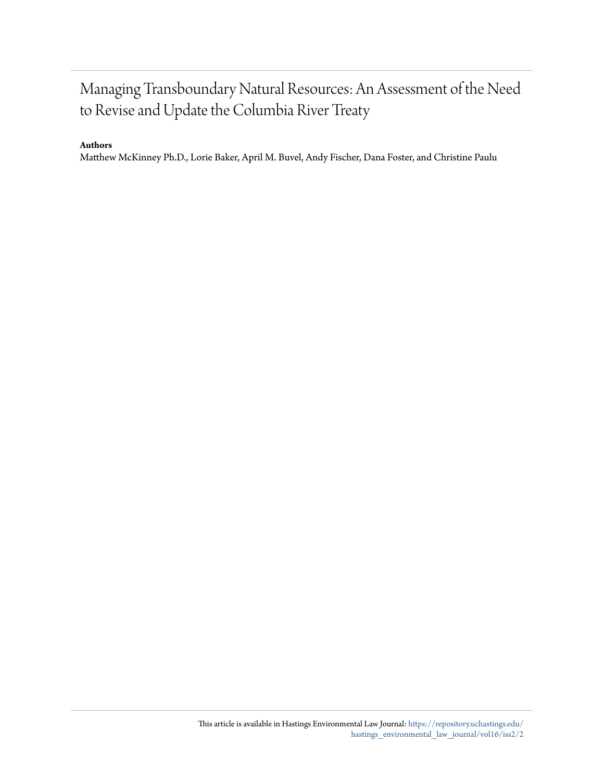# Managing Transboundary Natural Resources: An Assessment of the Need to Revise and Update the Columbia River Treaty

## **Authors**

Matthew McKinney Ph.D., Lorie Baker, April M. Buvel, Andy Fischer, Dana Foster, and Christine Paulu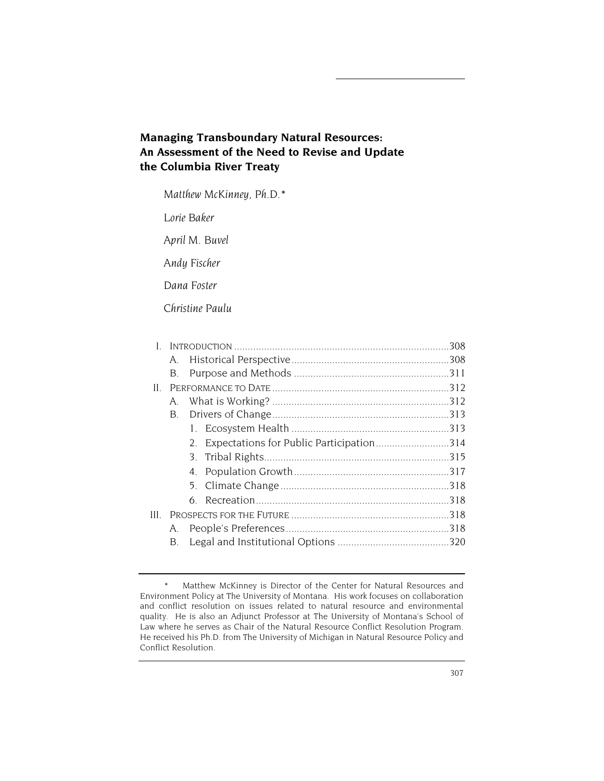# **Managing Transboundary Natural Resources: An Assessment of the Need to Revise and Update the Columbia River Treaty**

*Matthew McKinney, Ph.D.\** 

*Lorie Baker* 

*April M. Buvel* 

*Andy Fischer* 

*Dana Foster* 

*Christine Paulu* 

| L.  |    |  |                                             |  |
|-----|----|--|---------------------------------------------|--|
|     | A. |  |                                             |  |
|     | В. |  |                                             |  |
| Н.  |    |  |                                             |  |
|     | Α. |  |                                             |  |
|     | B. |  |                                             |  |
|     |    |  |                                             |  |
|     |    |  | 2. Expectations for Public Participation314 |  |
|     |    |  |                                             |  |
|     |    |  |                                             |  |
|     |    |  |                                             |  |
|     |    |  |                                             |  |
| HL. |    |  |                                             |  |
|     | Α. |  |                                             |  |
|     | В. |  |                                             |  |
|     |    |  |                                             |  |

<sup>\*</sup> Matthew McKinney is Director of the Center for Natural Resources and Environment Policy at The University of Montana. His work focuses on collaboration and conflict resolution on issues related to natural resource and environmental quality. He is also an Adjunct Professor at The University of Montana's School of Law where he serves as Chair of the Natural Resource Conflict Resolution Program. He received his Ph.D. from The University of Michigan in Natural Resource Policy and Conflict Resolution.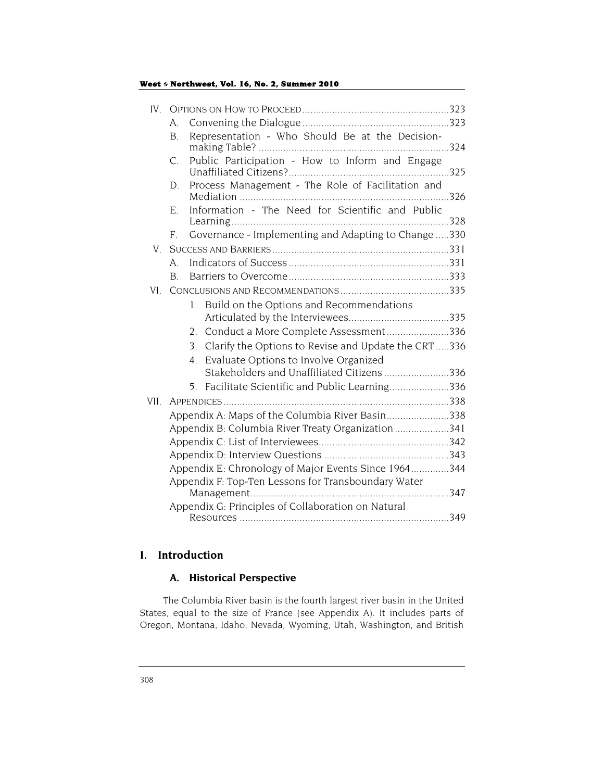| IV.  |                                                      |                                                                                                    |      |  |  |  |
|------|------------------------------------------------------|----------------------------------------------------------------------------------------------------|------|--|--|--|
|      | A.                                                   |                                                                                                    |      |  |  |  |
|      | B.                                                   | Representation - Who Should Be at the Decision-                                                    |      |  |  |  |
|      | C.                                                   | Public Participation - How to Inform and Engage                                                    |      |  |  |  |
|      | D.                                                   | Process Management - The Role of Facilitation and                                                  |      |  |  |  |
|      | Е.                                                   | Information - The Need for Scientific and Public                                                   | .328 |  |  |  |
|      | F.                                                   | Governance - Implementing and Adapting to Change 330                                               |      |  |  |  |
| V    |                                                      |                                                                                                    |      |  |  |  |
|      | A.                                                   |                                                                                                    |      |  |  |  |
|      | B.                                                   |                                                                                                    |      |  |  |  |
| VI-  |                                                      |                                                                                                    |      |  |  |  |
|      |                                                      | Build on the Options and Recommendations<br>$1_{-}$                                                |      |  |  |  |
|      |                                                      |                                                                                                    |      |  |  |  |
|      |                                                      | Conduct a More Complete Assessment336<br>$2_{-}$                                                   |      |  |  |  |
|      |                                                      | Clarify the Options to Revise and Update the CRT336<br>3.                                          |      |  |  |  |
|      |                                                      | Evaluate Options to Involve Organized<br>$4_{\cdot}$<br>Stakeholders and Unaffiliated Citizens 336 |      |  |  |  |
|      |                                                      | Facilitate Scientific and Public Learning336<br>$5_{-}$                                            |      |  |  |  |
| VII. |                                                      |                                                                                                    |      |  |  |  |
|      |                                                      | Appendix A: Maps of the Columbia River Basin338                                                    |      |  |  |  |
|      |                                                      | Appendix B: Columbia River Treaty Organization341                                                  |      |  |  |  |
|      |                                                      |                                                                                                    |      |  |  |  |
|      |                                                      |                                                                                                    |      |  |  |  |
|      | Appendix E: Chronology of Major Events Since 1964344 |                                                                                                    |      |  |  |  |
|      | Appendix F: Top-Ten Lessons for Transboundary Water  |                                                                                                    |      |  |  |  |
|      |                                                      |                                                                                                    |      |  |  |  |
|      | Appendix G: Principles of Collaboration on Natural   |                                                                                                    |      |  |  |  |
|      |                                                      |                                                                                                    |      |  |  |  |

## **I. Introduction**

## **A. Historical Perspective**

The Columbia River basin is the fourth largest river basin in the United States, equal to the size of France (see Appendix A). It includes parts of Oregon, Montana, Idaho, Nevada, Wyoming, Utah, Washington, and British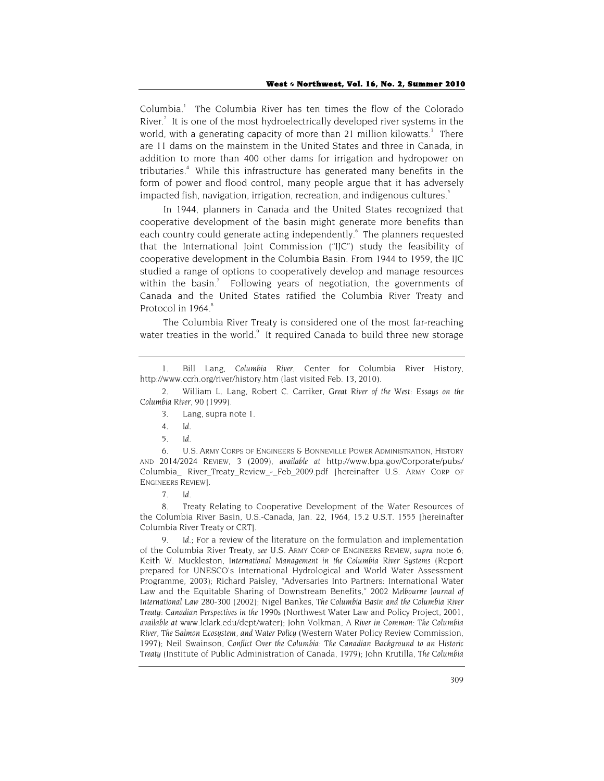Columbia.<sup>1</sup> The Columbia River has ten times the flow of the Colorado River.<sup>2</sup> It is one of the most hydroelectrically developed river systems in the world, with a generating capacity of more than 21 million kilowatts.<sup>3</sup> There are 11 dams on the mainstem in the United States and three in Canada, in addition to more than 400 other dams for irrigation and hydropower on tributaries.<sup>4</sup> While this infrastructure has generated many benefits in the form of power and flood control, many people argue that it has adversely impacted fish, navigation, irrigation, recreation, and indigenous cultures.<sup>5</sup>

In 1944, planners in Canada and the United States recognized that cooperative development of the basin might generate more benefits than each country could generate acting independently.<sup>6</sup> The planners requested that the International Joint Commission ("IJC") study the feasibility of cooperative development in the Columbia Basin. From 1944 to 1959, the IJC studied a range of options to cooperatively develop and manage resources within the basin.<sup>7</sup> Following years of negotiation, the governments of Canada and the United States ratified the Columbia River Treaty and Protocol in 1964.<sup>8</sup>

The Columbia River Treaty is considered one of the most far-reaching water treaties in the world.<sup>9</sup> It required Canada to build three new storage

6. U.S. ARMY CORPS OF ENGINEERS & BONNEVILLE POWER ADMINISTRATION, *HISTORY AND 2014/2024 REVIEW,* 3 (2009), *available at* http://www.bpa.gov/Corporate/pubs/ Columbia\_ River\_Treaty\_Review\_-\_Feb\_2009.pdf [hereinafter U.S. ARMY CORP OF ENGINEERS REVIEW].

7. *Id.*

8. Treaty Relating to Cooperative Development of the Water Resources of the Columbia River Basin, U.S.-Canada, Jan. 22, 1964, 15.2 U.S.T. 1555 [hereinafter Columbia River Treaty or CRT].

Id.; For a review of the literature on the formulation and implementation of the Columbia River Treaty, *see* U.S. ARMY CORP OF ENGINEERS REVIEW, *supra* note 6; Keith W. Muckleston, *International Management in the Columbia River Systems* (Report prepared for UNESCO's International Hydrological and World Water Assessment Programme, 2003); Richard Paisley, "Adversaries Into Partners: International Water Law and the Equitable Sharing of Downstream Benefits," 2002 *Melbourne Journal of International Law* 280-300 (2002); Nigel Bankes, *The Columbia Basin and the Columbia River Treaty: Canadian Perspectives in the 1990s* (Northwest Water Law and Policy Project, 2001, *available at* www.lclark.edu/dept/water); John Volkman, *A River in Common: The Columbia River, The Salmon Ecosystem, and Water Policy* (Western Water Policy Review Commission, 1997); Neil Swainson, *Conflict Over the Columbia: The Canadian Background to an Historic Treaty* (Institute of Public Administration of Canada, 1979); John Krutilla, *The Columbia* 

<sup>1.</sup> Bill Lang, *Columbia River*, Center for Columbia River History, http://www.ccrh.org/river/history.htm (last visited Feb. 13, 2010).

<sup>2.</sup> William L. Lang, Robert C. Carriker, *Great River of the West: Essays on the Columbia River*, 90 (1999).

<sup>3.</sup> Lang, supra note 1.

<sup>4.</sup> *Id*.

<sup>5.</sup> *Id*.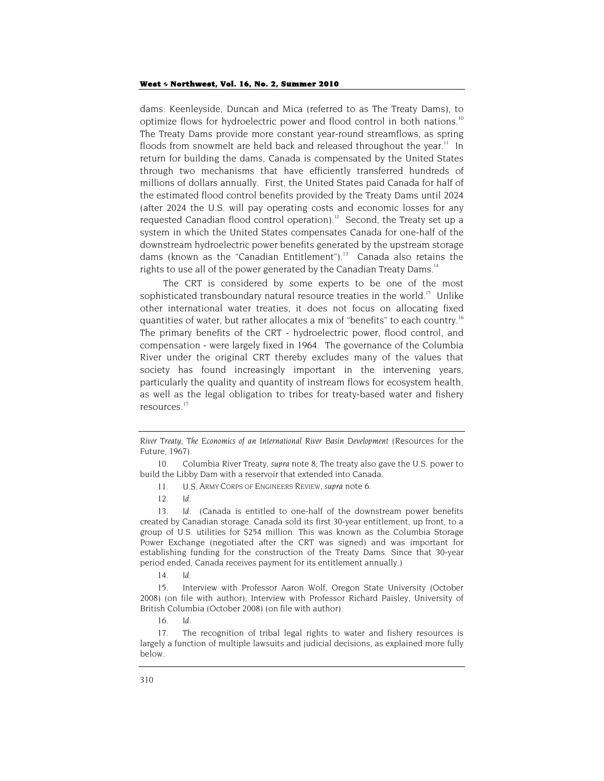dams: Keenleyside, Duncan and Mica (referred to as The Treaty Dams), to optimize flows for hydroelectric power and flood control in both nations.<sup>10</sup> The Treaty Dams provide more constant year-round streamflows, as spring floods from snowmelt are held back and released throughout the year.<sup>11</sup> In return for building the dams, Canada is compensated by the United States through two mechanisms that have efficiently transferred hundreds of millions of dollars annually. First, the United States paid Canada for half of the estimated flood control benefits provided by the Treaty Dams until 2024 (after 2024 the U.S. will pay operating costs and economic losses for any requested Canadian flood control operation).<sup>12</sup> Second, the Treaty set up a system in which the United States compensates Canada for one-half of the downstream hydroelectric power benefits generated by the upstream storage dams (known as the "Canadian Entitlement").<sup>13</sup> Canada also retains the rights to use all of the power generated by the Canadian Treaty Dams.<sup>14</sup>

The CRT is considered by some experts to be one of the most sophisticated transboundary natural resource treaties in the world.<sup>15</sup> Unlike other international water treaties, it does not focus on allocating fixed quantities of water, but rather allocates a mix of "benefits" to each country.<sup>16</sup> The primary benefits of the CRT - hydroelectric power, flood control, and compensation - were largely fixed in 1964. The governance of the Columbia River under the original CRT thereby excludes many of the values that society has found increasingly important in the intervening years, particularly the quality and quantity of instream flows for ecosystem health, as well as the legal obligation to tribes for treaty-based water and fishery resources.17

14. *Id*.

15. Interview with Professor Aaron Wolf, Oregon State University (October 2008) (on file with author); Interview with Professor Richard Paisley, University of British Columbia (October 2008) (on file with author).

16. *Id*.

*River Treaty, The Economics of an International River Basin Development* (Resources for the Future, 1967).

<sup>10.</sup> Columbia River Treaty, *supra* note 8; The treaty also gave the U.S. power to build the Libby Dam with a reservoir that extended into Canada.

<sup>11.</sup> U.S. ARMY CORPS OF ENGINEERS *REVIEW, supra* note 6.

<sup>12.</sup> *Id*.

<sup>13.</sup> *Id*. (Canada is entitled to one-half of the downstream power benefits created by Canadian storage. Canada sold its first 30-year entitlement, up front, to a group of U.S. utilities for \$254 million. This was known as the Columbia Storage Power Exchange (negotiated after the CRT was signed) and was important for establishing funding for the construction of the Treaty Dams. Since that 30-year period ended, Canada receives payment for its entitlement annually.)

<sup>17.</sup> The recognition of tribal legal rights to water and fishery resources is largely a function of multiple lawsuits and judicial decisions, as explained more fully below.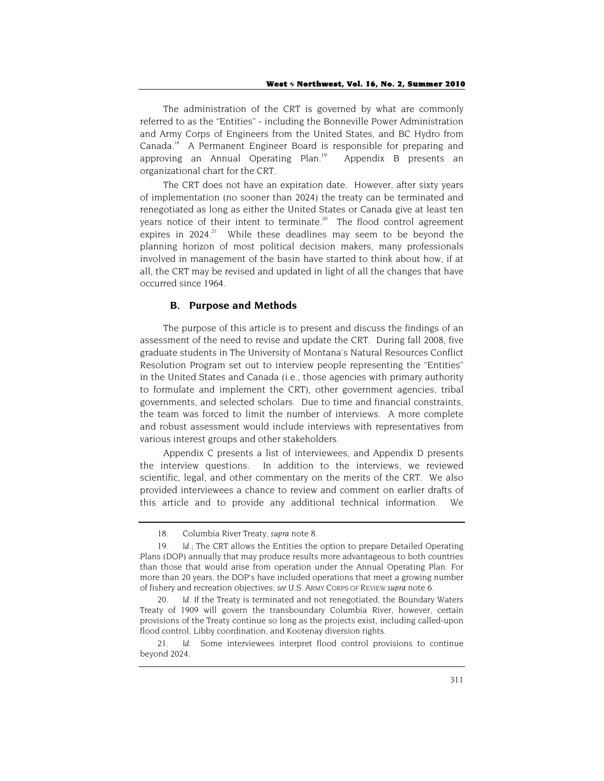The administration of the CRT is governed by what are commonly referred to as the "Entities" - including the Bonneville Power Administration and Army Corps of Engineers from the United States, and BC Hydro from Canada.<sup>18</sup> A Permanent Engineer Board is responsible for preparing and approving an Annual Operating Plan.<sup>19</sup> Appendix B presents an organizational chart for the CRT.

The CRT does not have an expiration date. However, after sixty years of implementation (no sooner than 2024) the treaty can be terminated and renegotiated as long as either the United States or Canada give at least ten years notice of their intent to terminate.<sup>20</sup> The flood control agreement expires in  $2024$ <sup>21</sup> While these deadlines may seem to be beyond the planning horizon of most political decision makers, many professionals involved in management of the basin have started to think about how, if at all, the CRT may be revised and updated in light of all the changes that have occurred since 1964.

## **B. Purpose and Methods**

The purpose of this article is to present and discuss the findings of an assessment of the need to revise and update the CRT. During fall 2008, five graduate students in The University of Montana's Natural Resources Conflict Resolution Program set out to interview people representing the "Entities" in the United States and Canada (i.e., those agencies with primary authority to formulate and implement the CRT), other government agencies, tribal governments, and selected scholars. Due to time and financial constraints, the team was forced to limit the number of interviews. A more complete and robust assessment would include interviews with representatives from various interest groups and other stakeholders.

Appendix C presents a list of interviewees, and Appendix D presents the interview questions. In addition to the interviews, we reviewed scientific, legal, and other commentary on the merits of the CRT. We also provided interviewees a chance to review and comment on earlier drafts of this article and to provide any additional technical information. We

<sup>18.</sup> Columbia River Treaty, *supra* note 8.

<sup>19.</sup> *Id*.; The CRT allows the Entities the option to prepare Detailed Operating Plans (DOP) annually that may produce results more advantageous to both countries than those that would arise from operation under the Annual Operating Plan. For more than 20 years, the DOP's have included operations that meet a growing number of fishery and recreation objectives; *see* U.S. ARMY CORPS OF REVIEW *supra* note 6.

<sup>20.</sup> *Id*. If the Treaty is terminated and not renegotiated, the Boundary Waters Treaty of 1909 will govern the transboundary Columbia River, however, certain provisions of the Treaty continue so long as the projects exist, including called-upon flood control, Libby coordination, and Kootenay diversion rights.

<sup>21.</sup> *Id*. Some interviewees interpret flood control provisions to continue beyond 2024.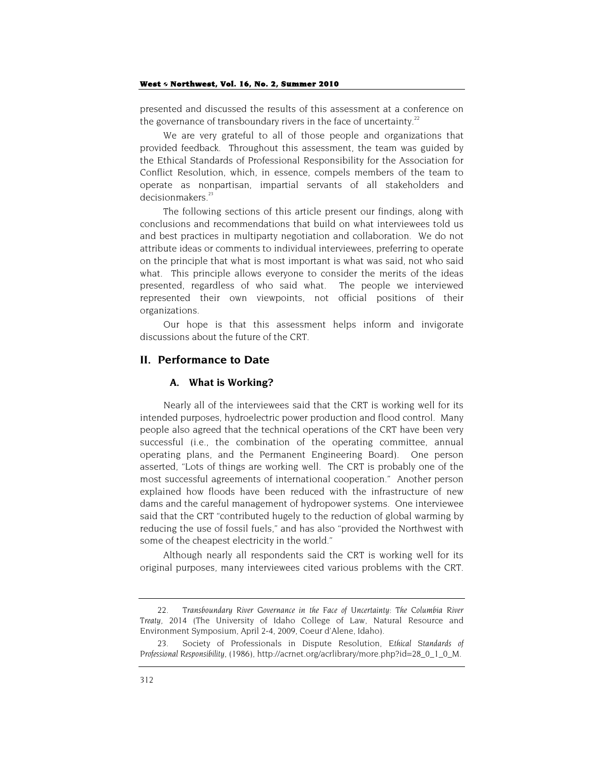presented and discussed the results of this assessment at a conference on the governance of transboundary rivers in the face of uncertainty.<sup>22</sup>

We are very grateful to all of those people and organizations that provided feedback. Throughout this assessment, the team was guided by the Ethical Standards of Professional Responsibility for the Association for Conflict Resolution, which, in essence, compels members of the team to operate as nonpartisan, impartial servants of all stakeholders and decisionmakers.<sup>23</sup>

The following sections of this article present our findings, along with conclusions and recommendations that build on what interviewees told us and best practices in multiparty negotiation and collaboration. We do not attribute ideas or comments to individual interviewees, preferring to operate on the principle that what is most important is what was said, not who said what. This principle allows everyone to consider the merits of the ideas presented, regardless of who said what. The people we interviewed represented their own viewpoints, not official positions of their organizations.

Our hope is that this assessment helps inform and invigorate discussions about the future of the CRT.

## **II. Performance to Date**

#### **A. What is Working?**

Nearly all of the interviewees said that the CRT is working well for its intended purposes, hydroelectric power production and flood control. Many people also agreed that the technical operations of the CRT have been very successful (i.e., the combination of the operating committee, annual operating plans, and the Permanent Engineering Board). One person asserted, "Lots of things are working well. The CRT is probably one of the most successful agreements of international cooperation." Another person explained how floods have been reduced with the infrastructure of new dams and the careful management of hydropower systems. One interviewee said that the CRT "contributed hugely to the reduction of global warming by reducing the use of fossil fuels," and has also "provided the Northwest with some of the cheapest electricity in the world."

Although nearly all respondents said the CRT is working well for its original purposes, many interviewees cited various problems with the CRT.

<sup>22</sup>*. Transboundary River Governance in the Face of Uncertainty: The Columbia River Treaty, 2014* (The University of Idaho College of Law, Natural Resource and Environment Symposium, April 2-4, 2009, Coeur d'Alene, Idaho).

<sup>23.</sup> Society of Professionals in Dispute Resolution, *Ethical Standards of Professional Responsibility,* (1986), http://acrnet.org/acrlibrary/more.php?id=28\_0\_1\_0\_M.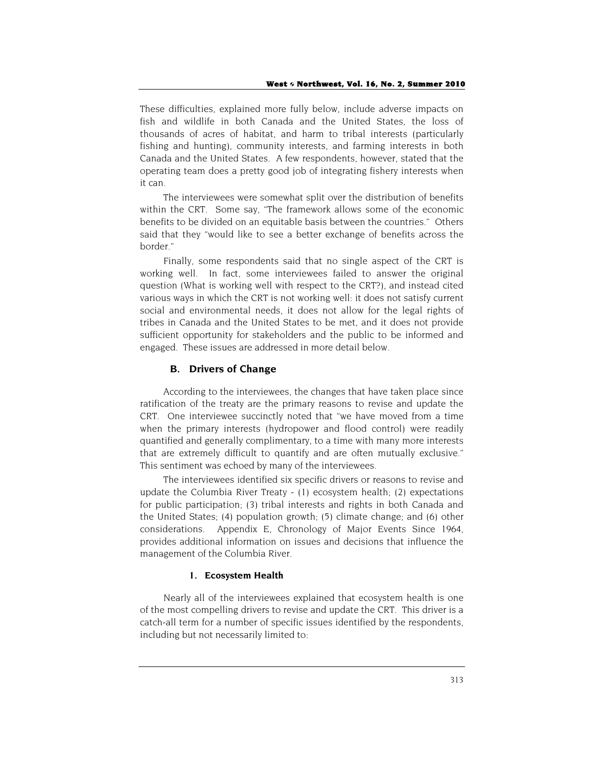These difficulties, explained more fully below, include adverse impacts on fish and wildlife in both Canada and the United States, the loss of thousands of acres of habitat, and harm to tribal interests (particularly fishing and hunting), community interests, and farming interests in both Canada and the United States. A few respondents, however, stated that the operating team does a pretty good job of integrating fishery interests when it can.

The interviewees were somewhat split over the distribution of benefits within the CRT. Some say, "The framework allows some of the economic benefits to be divided on an equitable basis between the countries." Others said that they "would like to see a better exchange of benefits across the border."

Finally, some respondents said that no single aspect of the CRT is working well. In fact, some interviewees failed to answer the original question (What is working well with respect to the CRT?), and instead cited various ways in which the CRT is not working well: it does not satisfy current social and environmental needs, it does not allow for the legal rights of tribes in Canada and the United States to be met, and it does not provide sufficient opportunity for stakeholders and the public to be informed and engaged. These issues are addressed in more detail below.

## **B. Drivers of Change**

According to the interviewees, the changes that have taken place since ratification of the treaty are the primary reasons to revise and update the CRT. One interviewee succinctly noted that "we have moved from a time when the primary interests (hydropower and flood control) were readily quantified and generally complimentary, to a time with many more interests that are extremely difficult to quantify and are often mutually exclusive." This sentiment was echoed by many of the interviewees.

The interviewees identified six specific drivers or reasons to revise and update the Columbia River Treaty - (1) ecosystem health; (2) expectations for public participation; (3) tribal interests and rights in both Canada and the United States; (4) population growth; (5) climate change; and (6) other considerations. Appendix E, Chronology of Major Events Since 1964, provides additional information on issues and decisions that influence the management of the Columbia River.

#### **1. Ecosystem Health**

Nearly all of the interviewees explained that ecosystem health is one of the most compelling drivers to revise and update the CRT. This driver is a catch-all term for a number of specific issues identified by the respondents, including but not necessarily limited to: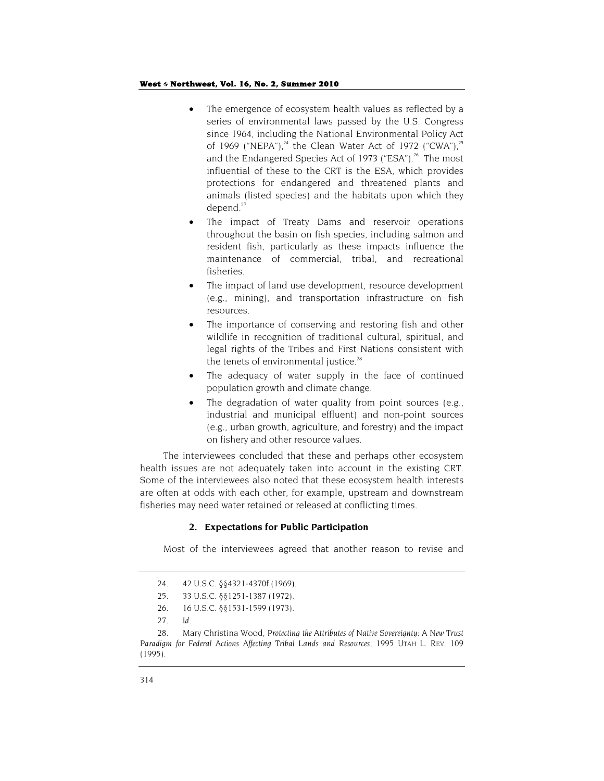- The emergence of ecosystem health values as reflected by a series of environmental laws passed by the U.S. Congress since 1964, including the National Environmental Policy Act of 1969 ("NEPA"), $^{24}$  the Clean Water Act of 1972 ("CWA"), $^{25}$ and the Endangered Species Act of 1973 ("ESA").<sup>26</sup> The most influential of these to the CRT is the ESA, which provides protections for endangered and threatened plants and animals (listed species) and the habitats upon which they depend.<sup>27</sup>
- The impact of Treaty Dams and reservoir operations throughout the basin on fish species, including salmon and resident fish, particularly as these impacts influence the maintenance of commercial, tribal, and recreational fisheries.
- The impact of land use development, resource development (e.g., mining), and transportation infrastructure on fish resources.
- The importance of conserving and restoring fish and other wildlife in recognition of traditional cultural, spiritual, and legal rights of the Tribes and First Nations consistent with the tenets of environmental justice.<sup>28</sup>
- The adequacy of water supply in the face of continued population growth and climate change.
- The degradation of water quality from point sources (e.g., industrial and municipal effluent) and non-point sources (e.g., urban growth, agriculture, and forestry) and the impact on fishery and other resource values.

The interviewees concluded that these and perhaps other ecosystem health issues are not adequately taken into account in the existing CRT. Some of the interviewees also noted that these ecosystem health interests are often at odds with each other, for example, upstream and downstream fisheries may need water retained or released at conflicting times.

#### **2. Expectations for Public Participation**

Most of the interviewees agreed that another reason to revise and

27. *Id*.

<sup>24. 42</sup> U.S.C. §§4321-4370f (1969).

<sup>25.</sup> 33 U.S.C. §§1251-1387 (1972).

<sup>26. 16</sup> U.S.C. §§1531-1599 (1973).

<sup>28.</sup> Mary Christina Wood, *Protecting the Attributes of Native Sovereignty: A New Trust Paradigm for Federal Actions Affecting Tribal Lands and Resources*, 1995 UTAH L. REV. 109 (1995).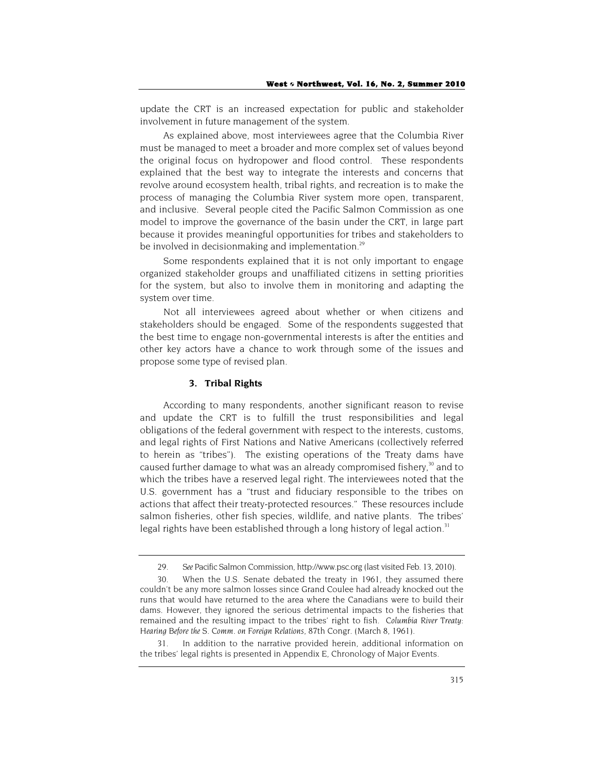update the CRT is an increased expectation for public and stakeholder involvement in future management of the system.

As explained above, most interviewees agree that the Columbia River must be managed to meet a broader and more complex set of values beyond the original focus on hydropower and flood control. These respondents explained that the best way to integrate the interests and concerns that revolve around ecosystem health, tribal rights, and recreation is to make the process of managing the Columbia River system more open, transparent, and inclusive. Several people cited the Pacific Salmon Commission as one model to improve the governance of the basin under the CRT, in large part because it provides meaningful opportunities for tribes and stakeholders to be involved in decisionmaking and implementation.<sup>29</sup>

Some respondents explained that it is not only important to engage organized stakeholder groups and unaffiliated citizens in setting priorities for the system, but also to involve them in monitoring and adapting the system over time.

Not all interviewees agreed about whether or when citizens and stakeholders should be engaged. Some of the respondents suggested that the best time to engage non-governmental interests is after the entities and other key actors have a chance to work through some of the issues and propose some type of revised plan.

#### **3. Tribal Rights**

According to many respondents, another significant reason to revise and update the CRT is to fulfill the trust responsibilities and legal obligations of the federal government with respect to the interests, customs, and legal rights of First Nations and Native Americans (collectively referred to herein as "tribes"). The existing operations of the Treaty dams have caused further damage to what was an already compromised fishery,<sup>30</sup> and to which the tribes have a reserved legal right. The interviewees noted that the U.S. government has a "trust and fiduciary responsible to the tribes on actions that affect their treaty-protected resources." These resources include salmon fisheries, other fish species, wildlife, and native plants. The tribes' legal rights have been established through a long history of legal action.<sup>31</sup>

31. In addition to the narrative provided herein, additional information on the tribes' legal rights is presented in Appendix E, Chronology of Major Events.

<sup>29.</sup> *See* Pacific Salmon Commission, http://www.psc.org (last visited Feb. 13, 2010).

<sup>30.</sup> When the U.S. Senate debated the treaty in 1961, they assumed there couldn't be any more salmon losses since Grand Coulee had already knocked out the runs that would have returned to the area where the Canadians were to build their dams. However, they ignored the serious detrimental impacts to the fisheries that remained and the resulting impact to the tribes' right to fish. *Columbia River Treaty: Hearing Before the S. Comm. on Foreign Relations*, 87th Congr. (March 8, 1961).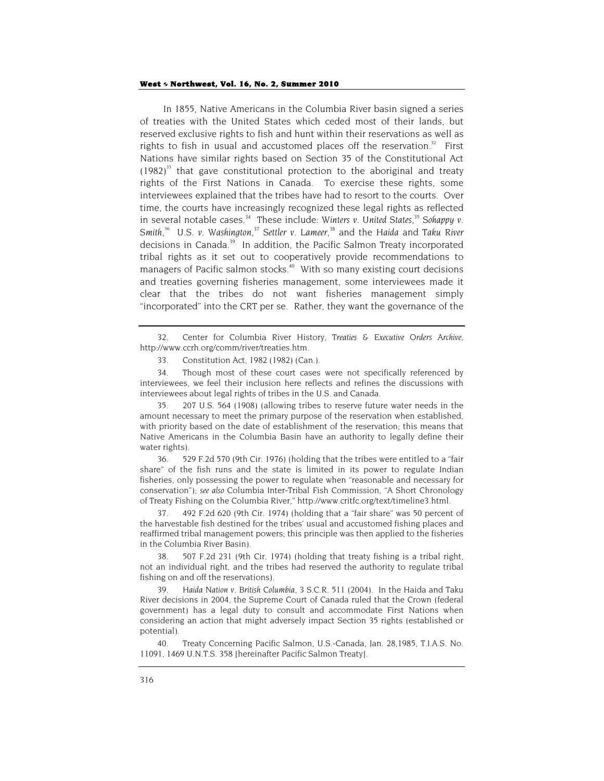In 1855, Native Americans in the Columbia River basin signed a series of treaties with the United States which ceded most of their lands, but reserved exclusive rights to fish and hunt within their reservations as well as rights to fish in usual and accustomed places off the reservation. $32$  First Nations have similar rights based on Section 35 of the Constitutional Act  $(1982)^{33}$  that gave constitutional protection to the aboriginal and treaty rights of the First Nations in Canada. To exercise these rights, some interviewees explained that the tribes have had to resort to the courts. Over time, the courts have increasingly recognized these legal rights as reflected in several notable cases.<sup>34</sup> These include: *Winters v. United States*,<sup>35</sup> Sohappy v. Smith,<sup>36</sup> U.S. v. Washington,<sup>37</sup> Settler v. Lameer,<sup>38</sup> and the Haida and Taku River decisions in Canada.<sup>39</sup> In addition, the Pacific Salmon Treaty incorporated tribal rights as it set out to cooperatively provide recommendations to managers of Pacific salmon stocks.<sup>40</sup> With so many existing court decisions and treaties governing fisheries management, some interviewees made it clear that the tribes do not want fisheries management simply "incorporated" into the CRT per se. Rather, they want the governance of the

32. Center for Columbia River History, *Treaties & Executive Orders Archive,* http://www.ccrh.org/comm/river/treaties.htm.

34. Though most of these court cases were not specifically referenced by interviewees, we feel their inclusion here reflects and refines the discussions with interviewees about legal rights of tribes in the U.S. and Canada.

35*.* 207 U.S. 564 (1908) (allowing tribes to reserve future water needs in the amount necessary to meet the primary purpose of the reservation when established, with priority based on the date of establishment of the reservation; this means that Native Americans in the Columbia Basin have an authority to legally define their water rights).

36. 529 F.2d 570 (9th Cir. 1976) (holding that the tribes were entitled to a "fair share" of the fish runs and the state is limited in its power to regulate Indian fisheries, only possessing the power to regulate when "reasonable and necessary for conservation"); *see also* Columbia Inter-Tribal Fish Commission, "A Short Chronology of Treaty Fishing on the Columbia River," http://www.critfc.org/text/timeline3.html.

37. 492 F.2d 620 (9th Cir. 1974) (holding that a "fair share" was 50 percent of the harvestable fish destined for the tribes' usual and accustomed fishing places and reaffirmed tribal management powers; this principle was then applied to the fisheries in the Columbia River Basin).

38*.* 507 F.2d 231 (9th Cir. 1974) (holding that treaty fishing is a tribal right, not an individual right, and the tribes had reserved the authority to regulate tribal fishing on and off the reservations).

39. *Haida Nation v. British Columbia*, 3 S.C.R. 511 (2004). In the Haida and Taku River decisions in 2004, the Supreme Court of Canada ruled that the Crown (federal government) has a legal duty to consult and accommodate First Nations when considering an action that might adversely impact Section 35 rights (established or potential).

40. Treaty Concerning Pacific Salmon, U.S.-Canada, Jan. 28,1985, T.I.A.S. No. 11091, 1469 U.N.T.S. 358 [hereinafter Pacific Salmon Treaty].

<sup>33.</sup> Constitution Act, 1982 (1982) (Can.).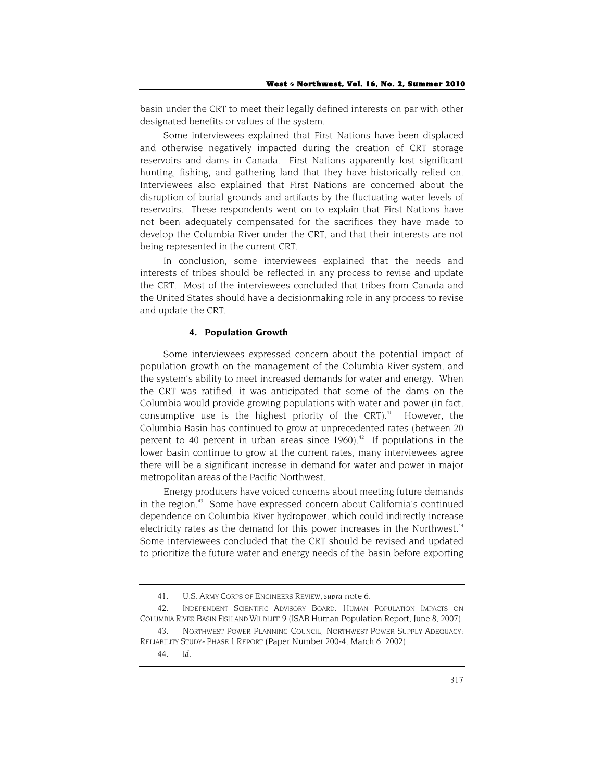basin under the CRT to meet their legally defined interests on par with other designated benefits or values of the system.

Some interviewees explained that First Nations have been displaced and otherwise negatively impacted during the creation of CRT storage reservoirs and dams in Canada. First Nations apparently lost significant hunting, fishing, and gathering land that they have historically relied on. Interviewees also explained that First Nations are concerned about the disruption of burial grounds and artifacts by the fluctuating water levels of reservoirs. These respondents went on to explain that First Nations have not been adequately compensated for the sacrifices they have made to develop the Columbia River under the CRT, and that their interests are not being represented in the current CRT.

In conclusion, some interviewees explained that the needs and interests of tribes should be reflected in any process to revise and update the CRT. Most of the interviewees concluded that tribes from Canada and the United States should have a decisionmaking role in any process to revise and update the CRT.

#### **4. Population Growth**

Some interviewees expressed concern about the potential impact of population growth on the management of the Columbia River system, and the system's ability to meet increased demands for water and energy. When the CRT was ratified, it was anticipated that some of the dams on the Columbia would provide growing populations with water and power (in fact, consumptive use is the highest priority of the  $CRT$ ).<sup>41</sup> However, the Columbia Basin has continued to grow at unprecedented rates (between 20 percent to 40 percent in urban areas since  $1960$ ).<sup>42</sup> If populations in the lower basin continue to grow at the current rates, many interviewees agree there will be a significant increase in demand for water and power in major metropolitan areas of the Pacific Northwest.

Energy producers have voiced concerns about meeting future demands in the region.<sup>43</sup> Some have expressed concern about California's continued dependence on Columbia River hydropower, which could indirectly increase electricity rates as the demand for this power increases in the Northwest.<sup>44</sup> Some interviewees concluded that the CRT should be revised and updated to prioritize the future water and energy needs of the basin before exporting

<sup>41.</sup> U.S. ARMY CORPS OF ENGINEERS *REVIEW, supra* note 6.

<sup>42.</sup> INDEPENDENT SCIENTIFIC ADVISORY BOARD. HUMAN POPULATION IMPACTS ON COLUMBIA RIVER BASIN FISH AND WILDLIFE 9 (ISAB Human Population Report, June 8, 2007).

<sup>43.</sup> NORTHWEST POWER PLANNING COUNCIL, NORTHWEST POWER SUPPLY ADEQUACY: RELIABILITY STUDY- PHASE 1 REPORT (Paper Number 200-4, March 6, 2002).

<sup>44.</sup> *Id*.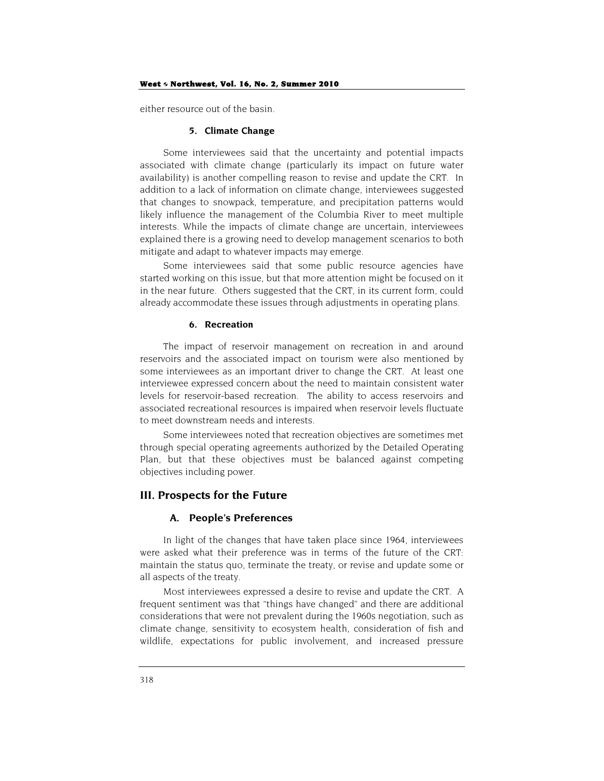#### West  $\diamond$  Northwest, Vol. 16, No. 2, Summer 2010

either resource out of the basin.

#### **5. Climate Change**

Some interviewees said that the uncertainty and potential impacts associated with climate change (particularly its impact on future water availability) is another compelling reason to revise and update the CRT. In addition to a lack of information on climate change, interviewees suggested that changes to snowpack, temperature, and precipitation patterns would likely influence the management of the Columbia River to meet multiple interests. While the impacts of climate change are uncertain, interviewees explained there is a growing need to develop management scenarios to both mitigate and adapt to whatever impacts may emerge.

Some interviewees said that some public resource agencies have started working on this issue, but that more attention might be focused on it in the near future. Others suggested that the CRT, in its current form, could already accommodate these issues through adjustments in operating plans.

#### **6. Recreation**

The impact of reservoir management on recreation in and around reservoirs and the associated impact on tourism were also mentioned by some interviewees as an important driver to change the CRT. At least one interviewee expressed concern about the need to maintain consistent water levels for reservoir-based recreation. The ability to access reservoirs and associated recreational resources is impaired when reservoir levels fluctuate to meet downstream needs and interests.

Some interviewees noted that recreation objectives are sometimes met through special operating agreements authorized by the Detailed Operating Plan, but that these objectives must be balanced against competing objectives including power.

## **III. Prospects for the Future**

#### **A. People's Preferences**

In light of the changes that have taken place since 1964, interviewees were asked what their preference was in terms of the future of the CRT: maintain the status quo, terminate the treaty, or revise and update some or all aspects of the treaty.

Most interviewees expressed a desire to revise and update the CRT. A frequent sentiment was that "things have changed" and there are additional considerations that were not prevalent during the 1960s negotiation, such as climate change, sensitivity to ecosystem health, consideration of fish and wildlife, expectations for public involvement, and increased pressure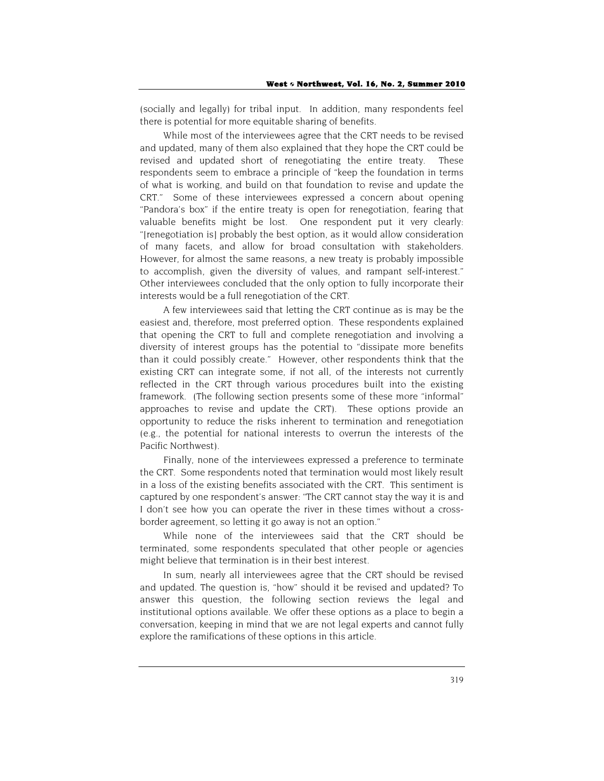(socially and legally) for tribal input. In addition, many respondents feel there is potential for more equitable sharing of benefits.

While most of the interviewees agree that the CRT needs to be revised and updated, many of them also explained that they hope the CRT could be revised and updated short of renegotiating the entire treaty. These respondents seem to embrace a principle of "keep the foundation in terms of what is working, and build on that foundation to revise and update the CRT." Some of these interviewees expressed a concern about opening "Pandora's box" if the entire treaty is open for renegotiation, fearing that valuable benefits might be lost. One respondent put it very clearly: "[renegotiation is] probably the best option, as it would allow consideration of many facets, and allow for broad consultation with stakeholders. However, for almost the same reasons, a new treaty is probably impossible to accomplish, given the diversity of values, and rampant self-interest." Other interviewees concluded that the only option to fully incorporate their interests would be a full renegotiation of the CRT.

A few interviewees said that letting the CRT continue as is may be the easiest and, therefore, most preferred option. These respondents explained that opening the CRT to full and complete renegotiation and involving a diversity of interest groups has the potential to "dissipate more benefits than it could possibly create." However, other respondents think that the existing CRT can integrate some, if not all, of the interests not currently reflected in the CRT through various procedures built into the existing framework. (The following section presents some of these more "informal" approaches to revise and update the CRT). These options provide an opportunity to reduce the risks inherent to termination and renegotiation (e.g., the potential for national interests to overrun the interests of the Pacific Northwest).

Finally, none of the interviewees expressed a preference to terminate the CRT. Some respondents noted that termination would most likely result in a loss of the existing benefits associated with the CRT. This sentiment is captured by one respondent's answer: "The CRT cannot stay the way it is and I don't see how you can operate the river in these times without a crossborder agreement, so letting it go away is not an option."

While none of the interviewees said that the CRT should be terminated, some respondents speculated that other people or agencies might believe that termination is in their best interest.

In sum, nearly all interviewees agree that the CRT should be revised and updated. The question is, "how" should it be revised and updated? To answer this question, the following section reviews the legal and institutional options available. We offer these options as a place to begin a conversation, keeping in mind that we are not legal experts and cannot fully explore the ramifications of these options in this article.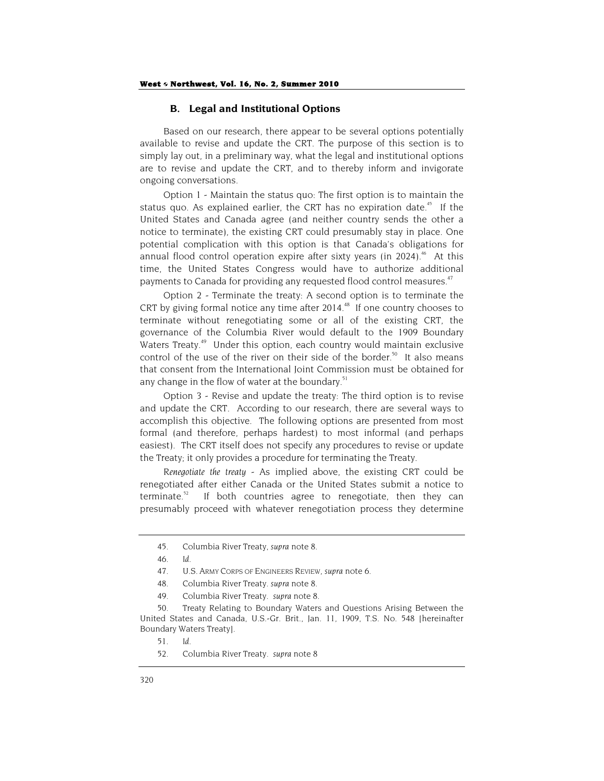## **B. Legal and Institutional Options**

Based on our research, there appear to be several options potentially available to revise and update the CRT. The purpose of this section is to simply lay out, in a preliminary way, what the legal and institutional options are to revise and update the CRT, and to thereby inform and invigorate ongoing conversations.

Option 1 - Maintain the status quo: The first option is to maintain the status quo. As explained earlier, the CRT has no expiration date.<sup>45</sup> If the United States and Canada agree (and neither country sends the other a notice to terminate), the existing CRT could presumably stay in place. One potential complication with this option is that Canada's obligations for annual flood control operation expire after sixty years (in 2024).<sup>46</sup> At this time, the United States Congress would have to authorize additional payments to Canada for providing any requested flood control measures.<sup>47</sup>

Option 2 - Terminate the treaty: A second option is to terminate the CRT by giving formal notice any time after  $2014<sup>48</sup>$  If one country chooses to terminate without renegotiating some or all of the existing CRT, the governance of the Columbia River would default to the 1909 Boundary Waters Treaty.<sup>49</sup> Under this option, each country would maintain exclusive control of the use of the river on their side of the border.<sup>50</sup> It also means that consent from the International Joint Commission must be obtained for any change in the flow of water at the boundary.<sup>51</sup>

Option 3 - Revise and update the treaty: The third option is to revise and update the CRT. According to our research, there are several ways to accomplish this objective. The following options are presented from most formal (and therefore, perhaps hardest) to most informal (and perhaps easiest). The CRT itself does not specify any procedures to revise or update the Treaty; it only provides a procedure for terminating the Treaty.

*Renegotiate the treaty* - As implied above, the existing CRT could be renegotiated after either Canada or the United States submit a notice to terminate.<sup>52</sup> If both countries agree to renegotiate, then they can presumably proceed with whatever renegotiation process they determine

<sup>45.</sup> Columbia River Treaty, *supra* note 8.

<sup>46.</sup> *Id*.

<sup>47.</sup> U.S. ARMY CORPS OF ENGINEERS REVIEW, *supra* note 6.

<sup>48.</sup> Columbia River Treaty. *supra* note 8.

<sup>49.</sup> Columbia River Treaty. *supra* note 8.

<sup>50.</sup> Treaty Relating to Boundary Waters and Questions Arising Between the United States and Canada, U.S.-Gr. Brit., Jan. 11, 1909, T.S. No. 548 [hereinafter Boundary Waters Treaty].

<sup>51.</sup> *Id*.

<sup>52.</sup> Columbia River Treaty. *supra* note 8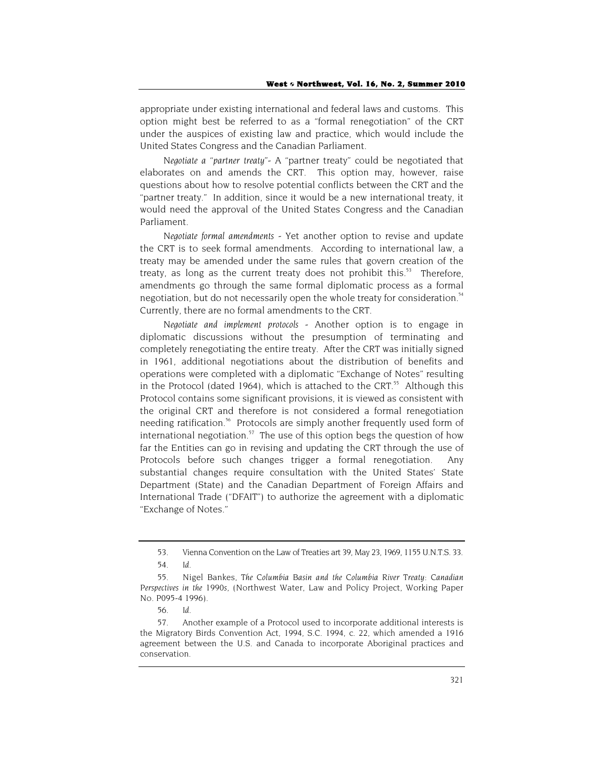appropriate under existing international and federal laws and customs. This option might best be referred to as a "formal renegotiation" of the CRT under the auspices of existing law and practice, which would include the United States Congress and the Canadian Parliament.

*Negotiate a "partner treaty"-* A "partner treaty" could be negotiated that elaborates on and amends the CRT. This option may, however, raise questions about how to resolve potential conflicts between the CRT and the "partner treaty." In addition, since it would be a new international treaty, it would need the approval of the United States Congress and the Canadian Parliament.

*Negotiate formal amendments -* Yet another option to revise and update the CRT is to seek formal amendments. According to international law, a treaty may be amended under the same rules that govern creation of the treaty, as long as the current treaty does not prohibit this.<sup>53</sup> Therefore, amendments go through the same formal diplomatic process as a formal negotiation, but do not necessarily open the whole treaty for consideration.<sup>54</sup> Currently, there are no formal amendments to the CRT.

*Negotiate and implement protocols -* Another option is to engage in diplomatic discussions without the presumption of terminating and completely renegotiating the entire treaty. After the CRT was initially signed in 1961, additional negotiations about the distribution of benefits and operations were completed with a diplomatic "Exchange of Notes" resulting in the Protocol (dated 1964), which is attached to the CRT. $55$  Although this Protocol contains some significant provisions, it is viewed as consistent with the original CRT and therefore is not considered a formal renegotiation needing ratification.<sup>56</sup> Protocols are simply another frequently used form of international negotiation. $57$  The use of this option begs the question of how far the Entities can go in revising and updating the CRT through the use of Protocols before such changes trigger a formal renegotiation. Any substantial changes require consultation with the United States' State Department (State) and the Canadian Department of Foreign Affairs and International Trade ("DFAIT") to authorize the agreement with a diplomatic "Exchange of Notes."

<sup>53.</sup> Vienna Convention on the Law of Treaties art 39, May 23, 1969, 1155 U.N.T.S. 33.

<sup>54.</sup> *Id*.

<sup>55.</sup> Nigel Bankes, *The Columbia Basin and the Columbia River Treaty: Canadian Perspectives in the 1990s*, (Northwest Water, Law and Policy Project, Working Paper No. P095-4 1996).

<sup>56.</sup> *Id*.

<sup>57.</sup> Another example of a Protocol used to incorporate additional interests is the Migratory Birds Convention Act, 1994, S.C. 1994, c. 22, which amended a 1916 agreement between the U.S. and Canada to incorporate Aboriginal practices and conservation.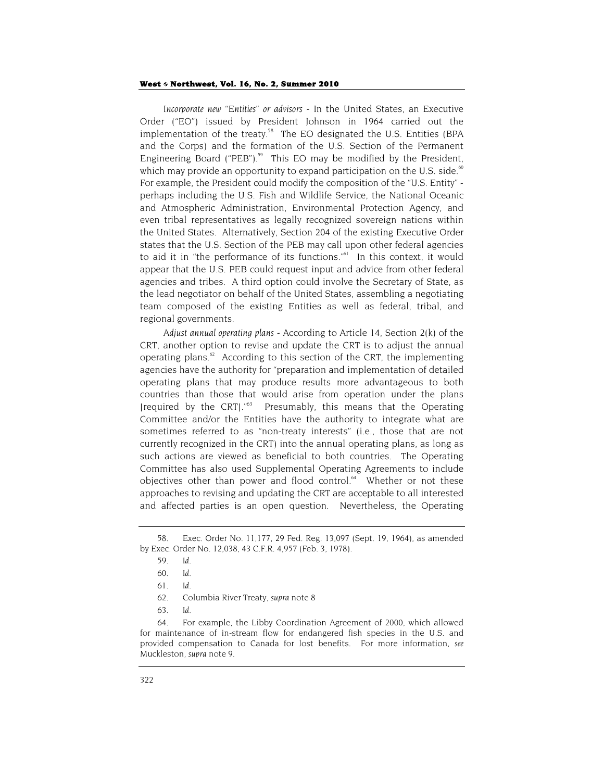*Incorporate new "Entities" or advisors* - In the United States, an Executive Order ("EO") issued by President Johnson in 1964 carried out the implementation of the treaty.<sup>58</sup> The EO designated the U.S. Entities (BPA) and the Corps) and the formation of the U.S. Section of the Permanent Engineering Board ("PEB").<sup>59</sup> This EO may be modified by the President, which may provide an opportunity to expand participation on the U.S. side. $60$ For example, the President could modify the composition of the "U.S. Entity" perhaps including the U.S. Fish and Wildlife Service, the National Oceanic and Atmospheric Administration, Environmental Protection Agency, and even tribal representatives as legally recognized sovereign nations within the United States. Alternatively, Section 204 of the existing Executive Order states that the U.S. Section of the PEB may call upon other federal agencies to aid it in "the performance of its functions."<sup>61</sup> In this context, it would appear that the U.S. PEB could request input and advice from other federal agencies and tribes. A third option could involve the Secretary of State, as the lead negotiator on behalf of the United States, assembling a negotiating team composed of the existing Entities as well as federal, tribal, and regional governments.

*Adjust annual operating plans -* According to Article 14, Section 2(k) of the CRT, another option to revise and update the CRT is to adjust the annual operating plans. $62$  According to this section of the CRT, the implementing agencies have the authority for "preparation and implementation of detailed operating plans that may produce results more advantageous to both countries than those that would arise from operation under the plans [required by the CRT]."63 Presumably, this means that the Operating Committee and/or the Entities have the authority to integrate what are sometimes referred to as "non-treaty interests" (i.e., those that are not currently recognized in the CRT) into the annual operating plans, as long as such actions are viewed as beneficial to both countries. The Operating Committee has also used Supplemental Operating Agreements to include objectives other than power and flood control.<sup>64</sup> Whether or not these approaches to revising and updating the CRT are acceptable to all interested and affected parties is an open question. Nevertheless, the Operating

64. For example, the Libby Coordination Agreement of 2000, which allowed for maintenance of in-stream flow for endangered fish species in the U.S. and provided compensation to Canada for lost benefits. For more information, *see*  Muckleston, *supra* note 9.

<sup>58.</sup> Exec. Order No. 11,177, 29 Fed. Reg. 13,097 (Sept. 19, 1964), as amended by Exec. Order No. 12,038, 43 C.F.R. 4,957 (Feb. 3, 1978).

<sup>59.</sup> *Id*.

<sup>60.</sup> *Id*.

<sup>61.</sup> *Id*.

<sup>62.</sup> Columbia River Treaty, *supra* note 8

<sup>63.</sup> *Id*.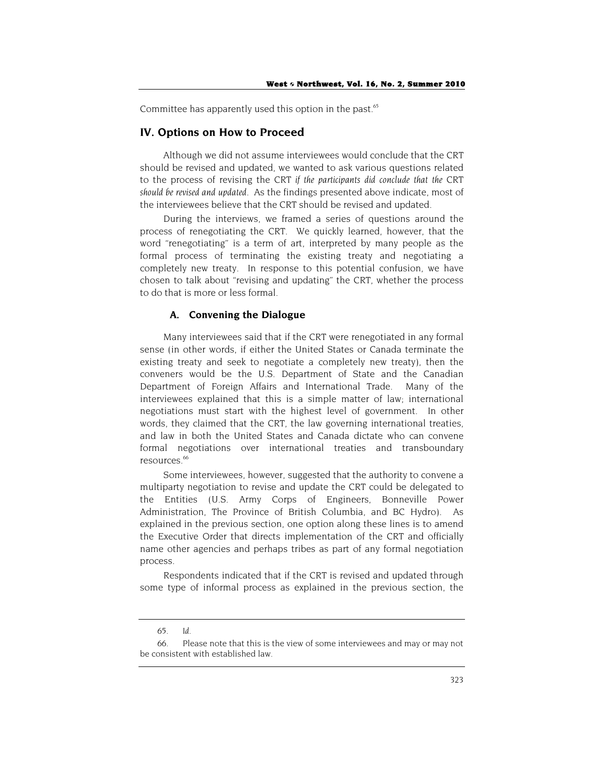Committee has apparently used this option in the past.<sup>65</sup>

#### **IV. Options on How to Proceed**

Although we did not assume interviewees would conclude that the CRT should be revised and updated, we wanted to ask various questions related to the process of revising the CRT *if the participants did conclude that the CRT should be revised and updated.* As the findings presented above indicate, most of the interviewees believe that the CRT should be revised and updated.

During the interviews, we framed a series of questions around the process of renegotiating the CRT. We quickly learned, however, that the word "renegotiating" is a term of art, interpreted by many people as the formal process of terminating the existing treaty and negotiating a completely new treaty. In response to this potential confusion, we have chosen to talk about "revising and updating" the CRT, whether the process to do that is more or less formal.

## **A. Convening the Dialogue**

Many interviewees said that if the CRT were renegotiated in any formal sense (in other words, if either the United States or Canada terminate the existing treaty and seek to negotiate a completely new treaty), then the conveners would be the U.S. Department of State and the Canadian Department of Foreign Affairs and International Trade. Many of the interviewees explained that this is a simple matter of law; international negotiations must start with the highest level of government. In other words, they claimed that the CRT, the law governing international treaties, and law in both the United States and Canada dictate who can convene formal negotiations over international treaties and transboundary resources.<sup>66</sup>

Some interviewees, however, suggested that the authority to convene a multiparty negotiation to revise and update the CRT could be delegated to the Entities (U.S. Army Corps of Engineers, Bonneville Power Administration, The Province of British Columbia, and BC Hydro). As explained in the previous section, one option along these lines is to amend the Executive Order that directs implementation of the CRT and officially name other agencies and perhaps tribes as part of any formal negotiation process.

Respondents indicated that if the CRT is revised and updated through some type of informal process as explained in the previous section, the

<sup>65.</sup> *Id*.

<sup>66.</sup> Please note that this is the view of some interviewees and may or may not be consistent with established law.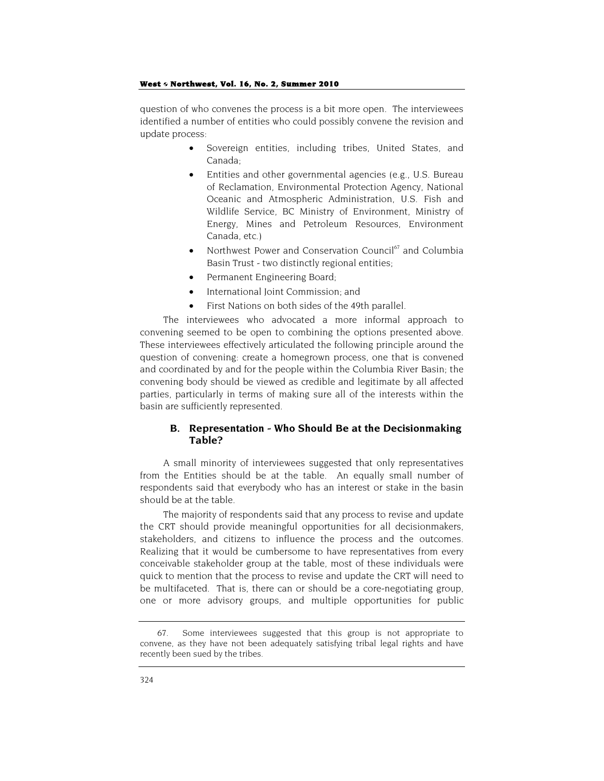question of who convenes the process is a bit more open. The interviewees identified a number of entities who could possibly convene the revision and update process:

- Sovereign entities, including tribes, United States, and Canada;
- Entities and other governmental agencies (e.g., U.S. Bureau of Reclamation, Environmental Protection Agency, National Oceanic and Atmospheric Administration, U.S. Fish and Wildlife Service, BC Ministry of Environment, Ministry of Energy, Mines and Petroleum Resources, Environment Canada, etc.)
- Northwest Power and Conservation Council $67$  and Columbia Basin Trust - two distinctly regional entities;
- Permanent Engineering Board;
- International Joint Commission; and
- First Nations on both sides of the 49th parallel.

The interviewees who advocated a more informal approach to convening seemed to be open to combining the options presented above. These interviewees effectively articulated the following principle around the question of convening: create a homegrown process, one that is convened and coordinated by and for the people within the Columbia River Basin; the convening body should be viewed as credible and legitimate by all affected parties, particularly in terms of making sure all of the interests within the basin are sufficiently represented.

## **B. Representation - Who Should Be at the Decisionmaking Table?**

A small minority of interviewees suggested that only representatives from the Entities should be at the table. An equally small number of respondents said that everybody who has an interest or stake in the basin should be at the table.

The majority of respondents said that any process to revise and update the CRT should provide meaningful opportunities for all decisionmakers, stakeholders, and citizens to influence the process and the outcomes. Realizing that it would be cumbersome to have representatives from every conceivable stakeholder group at the table, most of these individuals were quick to mention that the process to revise and update the CRT will need to be multifaceted. That is, there can or should be a core-negotiating group, one or more advisory groups, and multiple opportunities for public

<sup>67.</sup> Some interviewees suggested that this group is not appropriate to convene, as they have not been adequately satisfying tribal legal rights and have recently been sued by the tribes.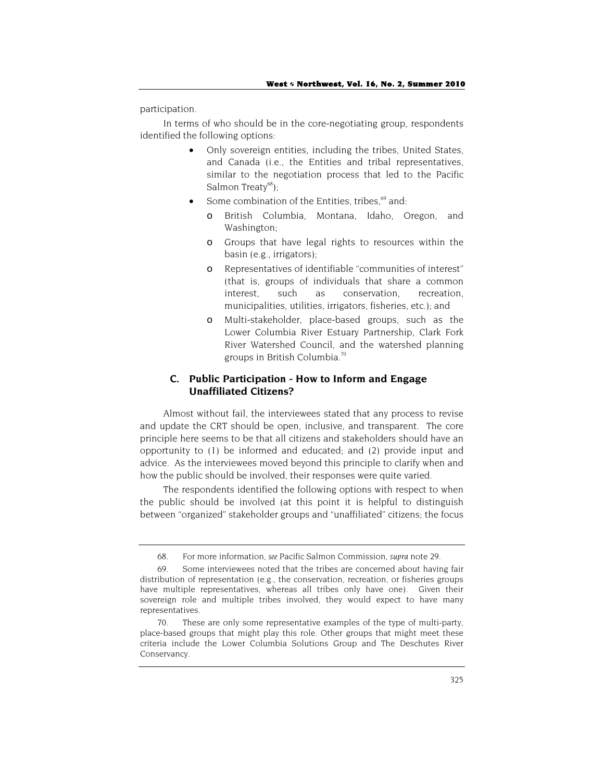participation.

In terms of who should be in the core-negotiating group, respondents identified the following options:

- Only sovereign entities, including the tribes, United States, and Canada (i.e., the Entities and tribal representatives, similar to the negotiation process that led to the Pacific Salmon Treaty $^{68}$ );
- Some combination of the Entities, tribes, $69$  and:
	- British Columbia, Montana, Idaho, Oregon, and Washington;
	- o Groups that have legal rights to resources within the basin (e.g., irrigators);
	- o Representatives of identifiable "communities of interest" (that is, groups of individuals that share a common interest, such as conservation, recreation, municipalities, utilities, irrigators, fisheries, etc.); and
	- o Multi-stakeholder, place-based groups, such as the Lower Columbia River Estuary Partnership, Clark Fork River Watershed Council, and the watershed planning groups in British Columbia.70

## **C. Public Participation - How to Inform and Engage Unaffiliated Citizens?**

Almost without fail, the interviewees stated that any process to revise and update the CRT should be open, inclusive, and transparent. The core principle here seems to be that all citizens and stakeholders should have an opportunity to (1) be informed and educated; and (2) provide input and advice. As the interviewees moved beyond this principle to clarify when and how the public should be involved, their responses were quite varied.

The respondents identified the following options with respect to when the public should be involved (at this point it is helpful to distinguish between "organized" stakeholder groups and "unaffiliated" citizens; the focus

<sup>68.</sup> For more information, *see* Pacific Salmon Commission, *supra* note 29.

<sup>69.</sup> Some interviewees noted that the tribes are concerned about having fair distribution of representation (e.g., the conservation, recreation, or fisheries groups have multiple representatives, whereas all tribes only have one). Given their sovereign role and multiple tribes involved, they would expect to have many representatives.

These are only some representative examples of the type of multi-party, place-based groups that might play this role. Other groups that might meet these criteria include the Lower Columbia Solutions Group and The Deschutes River Conservancy.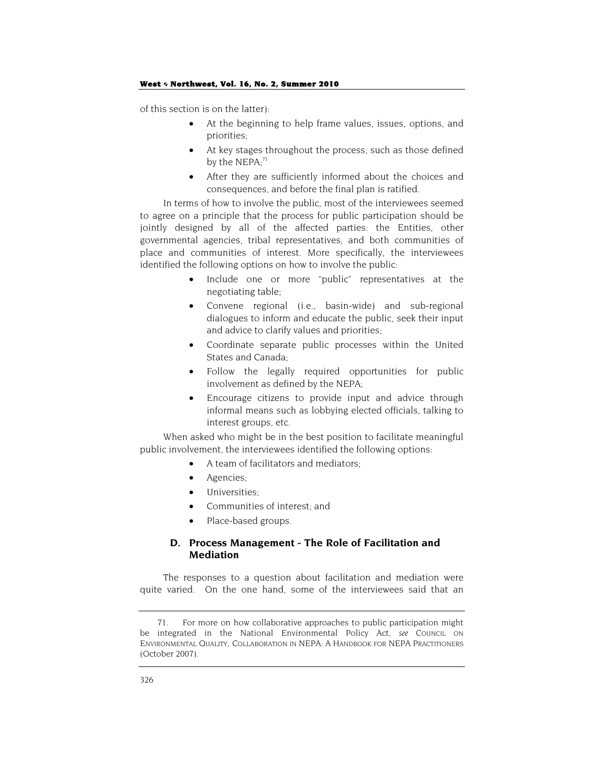of this section is on the latter):

- At the beginning to help frame values, issues, options, and priorities;
- At key stages throughout the process, such as those defined by the  $NEPA$ ;<sup>71</sup>
- After they are sufficiently informed about the choices and consequences, and before the final plan is ratified.

In terms of how to involve the public, most of the interviewees seemed to agree on a principle that the process for public participation should be jointly designed by all of the affected parties: the Entities, other governmental agencies, tribal representatives, and both communities of place and communities of interest. More specifically, the interviewees identified the following options on how to involve the public:

- Include one or more "public" representatives at the negotiating table;
- Convene regional (i.e., basin-wide) and sub-regional dialogues to inform and educate the public, seek their input and advice to clarify values and priorities;
- Coordinate separate public processes within the United States and Canada;
- Follow the legally required opportunities for public involvement as defined by the NEPA;
- Encourage citizens to provide input and advice through informal means such as lobbying elected officials, talking to interest groups, etc.

When asked who might be in the best position to facilitate meaningful public involvement, the interviewees identified the following options:

- A team of facilitators and mediators;
- Agencies;
- Universities;
- Communities of interest; and
- Place-based groups.

## **D. Process Management - The Role of Facilitation and Mediation**

The responses to a question about facilitation and mediation were quite varied. On the one hand, some of the interviewees said that an

<sup>71.</sup> For more on how collaborative approaches to public participation might be integrated in the National Environmental Policy Act, *see* COUNCIL ON ENVIRONMENTAL QUALITY, COLLABORATION IN NEPA: A HANDBOOK FOR NEPA PRACTITIONERS (October 2007).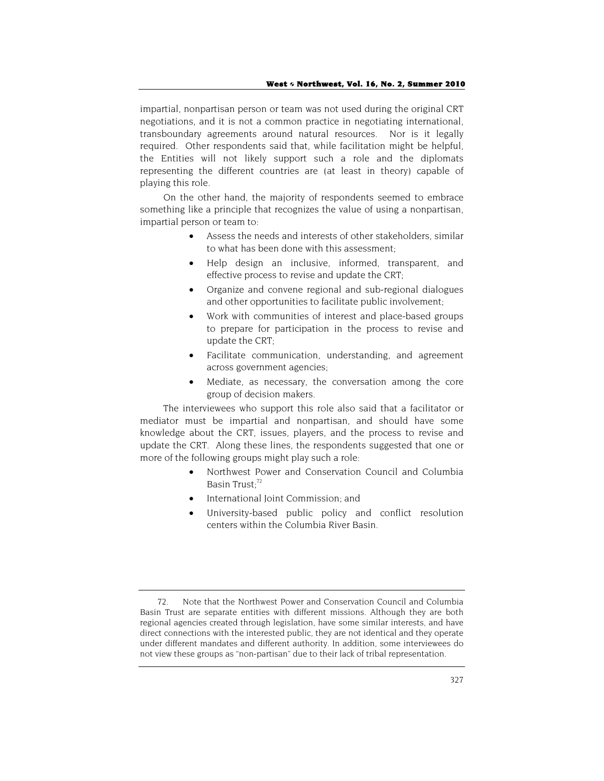impartial, nonpartisan person or team was not used during the original CRT negotiations, and it is not a common practice in negotiating international, transboundary agreements around natural resources. Nor is it legally required. Other respondents said that, while facilitation might be helpful, the Entities will not likely support such a role and the diplomats representing the different countries are (at least in theory) capable of playing this role.

On the other hand, the majority of respondents seemed to embrace something like a principle that recognizes the value of using a nonpartisan, impartial person or team to:

- Assess the needs and interests of other stakeholders, similar to what has been done with this assessment;
- Help design an inclusive, informed, transparent, and effective process to revise and update the CRT;
- Organize and convene regional and sub-regional dialogues and other opportunities to facilitate public involvement;
- Work with communities of interest and place-based groups to prepare for participation in the process to revise and update the CRT;
- Facilitate communication, understanding, and agreement across government agencies;
- Mediate, as necessary, the conversation among the core group of decision makers.

The interviewees who support this role also said that a facilitator or mediator must be impartial and nonpartisan, and should have some knowledge about the CRT, issues, players, and the process to revise and update the CRT. Along these lines, the respondents suggested that one or more of the following groups might play such a role:

- Northwest Power and Conservation Council and Columbia Basin Trust; 72
- International Joint Commission; and
- University-based public policy and conflict resolution centers within the Columbia River Basin.

<sup>72.</sup> Note that the Northwest Power and Conservation Council and Columbia Basin Trust are separate entities with different missions. Although they are both regional agencies created through legislation, have some similar interests, and have direct connections with the interested public, they are not identical and they operate under different mandates and different authority. In addition, some interviewees do not view these groups as "non-partisan" due to their lack of tribal representation.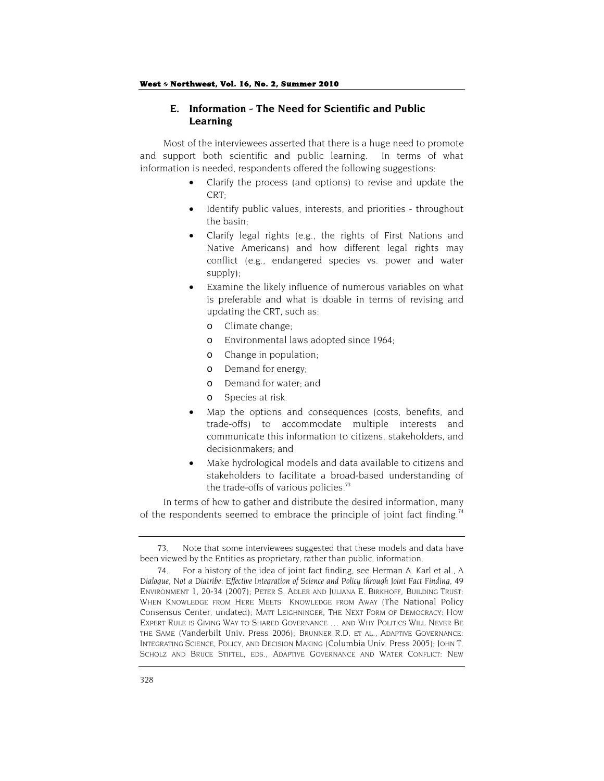## **E. Information - The Need for Scientific and Public Learning**

Most of the interviewees asserted that there is a huge need to promote and support both scientific and public learning. In terms of what information is needed, respondents offered the following suggestions:

- Clarify the process (and options) to revise and update the CRT;
- Identify public values, interests, and priorities throughout the basin;
- Clarify legal rights (e.g., the rights of First Nations and Native Americans) and how different legal rights may conflict (e.g., endangered species vs. power and water supply);
- Examine the likely influence of numerous variables on what is preferable and what is doable in terms of revising and updating the CRT, such as:
	- o Climate change;
	- o Environmental laws adopted since 1964;
	- o Change in population;
	- o Demand for energy;
	- o Demand for water; and
	- o Species at risk.
- Map the options and consequences (costs, benefits, and trade-offs) to accommodate multiple interests and communicate this information to citizens, stakeholders, and decisionmakers; and
- Make hydrological models and data available to citizens and stakeholders to facilitate a broad-based understanding of the trade-offs of various policies. $73$

In terms of how to gather and distribute the desired information, many of the respondents seemed to embrace the principle of joint fact finding.<sup>74</sup>

<sup>73.</sup> Note that some interviewees suggested that these models and data have been viewed by the Entities as proprietary, rather than public, information.

<sup>74.</sup> For a history of the idea of joint fact finding, see Herman A. Karl et al., *A Dialogue, Not a Diatribe: Effective Integration of Science and Policy through Joint Fact Finding*, 49 ENVIRONMENT 1, 20-34 (2007); PETER S. ADLER AND JULIANA E. BIRKHOFF, BUILDING TRUST: WHEN KNOWLEDGE FROM HERE MEETS KNOWLEDGE FROM AWAY (The National Policy Consensus Center, undated); MATT LEIGHNINGER, THE NEXT FORM OF DEMOCRACY: HOW EXPERT RULE IS GIVING WAY TO SHARED GOVERNANCE … AND WHY POLITICS WILL NEVER BE THE SAME (Vanderbilt Univ. Press 2006); BRUNNER R.D. ET AL., ADAPTIVE GOVERNANCE: INTEGRATING SCIENCE, POLICY, AND DECISION MAKING (Columbia Univ. Press 2005); JOHN T. SCHOLZ AND BRUCE STIFTEL, EDS., ADAPTIVE GOVERNANCE AND WATER CONFLICT: NEW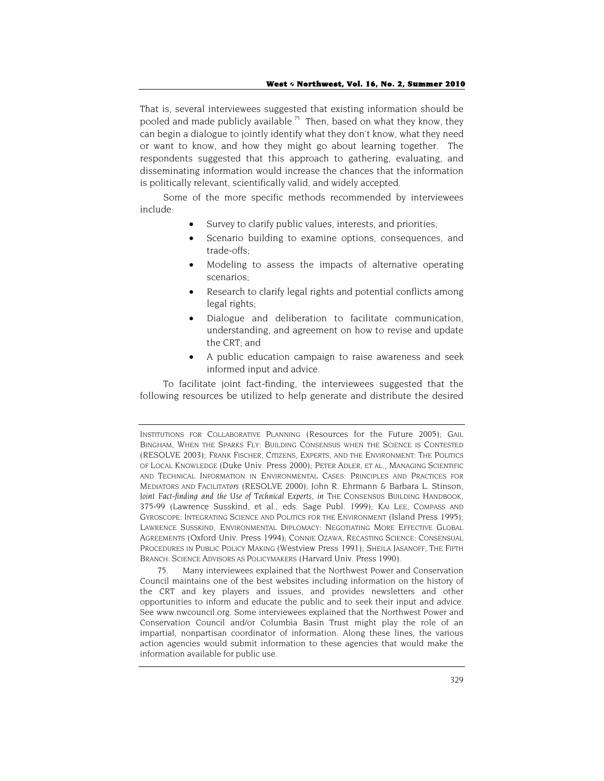That is, several interviewees suggested that existing information should be pooled and made publicly available.<sup>75</sup> Then, based on what they know, they can begin a dialogue to jointly identify what they don't know, what they need or want to know, and how they might go about learning together. The respondents suggested that this approach to gathering, evaluating, and disseminating information would increase the chances that the information is politically relevant, scientifically valid, and widely accepted.

Some of the more specific methods recommended by interviewees include:

- Survey to clarify public values, interests, and priorities;
- Scenario building to examine options, consequences, and trade-offs;
- Modeling to assess the impacts of alternative operating scenarios;
- Research to clarify legal rights and potential conflicts among legal rights;
- Dialogue and deliberation to facilitate communication, understanding, and agreement on how to revise and update the CRT; and
- A public education campaign to raise awareness and seek informed input and advice.

To facilitate joint fact-finding, the interviewees suggested that the following resources be utilized to help generate and distribute the desired

75. Many interviewees explained that the Northwest Power and Conservation Council maintains one of the best websites including information on the history of the CRT and key players and issues, and provides newsletters and other opportunities to inform and educate the public and to seek their input and advice. See www.nwcouncil.org. Some interviewees explained that the Northwest Power and Conservation Council and/or Columbia Basin Trust might play the role of an impartial, nonpartisan coordinator of information. Along these lines, the various action agencies would submit information to these agencies that would make the information available for public use.

INSTITUTIONS FOR COLLABORATIVE PLANNING (Resources for the Future 2005); GAIL BINGHAM, WHEN THE SPARKS FLY: BUILDING CONSENSUS WHEN THE SCIENCE IS CONTESTED (RESOLVE 2003); FRANK FISCHER, CITIZENS, EXPERTS, AND THE ENVIRONMENT: THE POLITICS OF LOCAL KNOWLEDGE (Duke Univ. Press 2000); PETER ADLER, ET AL., MANAGING SCIENTIFIC AND TECHNICAL INFORMATION IN ENVIRONMENTAL CASES: PRINCIPLES AND PRACTICES FOR MEDIATORS AND FACILITAT*ors* (RESOLVE 2000); John R. Ehrmann & Barbara L. Stinson, *Joint Fact-finding and the Use of Technical Experts*, *in* THE CONSENSUS BUILDING HANDBOOK, 375-99 (Lawrence Susskind, et al., eds. Sage Publ. 1999); KAI LEE, COMPASS AND GYROSCOPE: INTEGRATING SCIENCE AND POLITICS FOR THE ENVIRONMENT (Island Press 1995); LAWRENCE SUSSKIND, ENVIRONMENTAL DIPLOMACY: NEGOTIATING MORE EFFECTIVE GLOBAL AGREEMENTS (Oxford Univ. Press 1994); CONNIE OZAWA, RECASTING SCIENCE: CONSENSUAL PROCEDURES IN PUBLIC POLICY MAKING (Westview Press 1991); SHEILA JASANOFF, THE FIFTH BRANCH: SCIENCE ADVISORS AS POLICYMAKERS (Harvard Univ. Press 1990).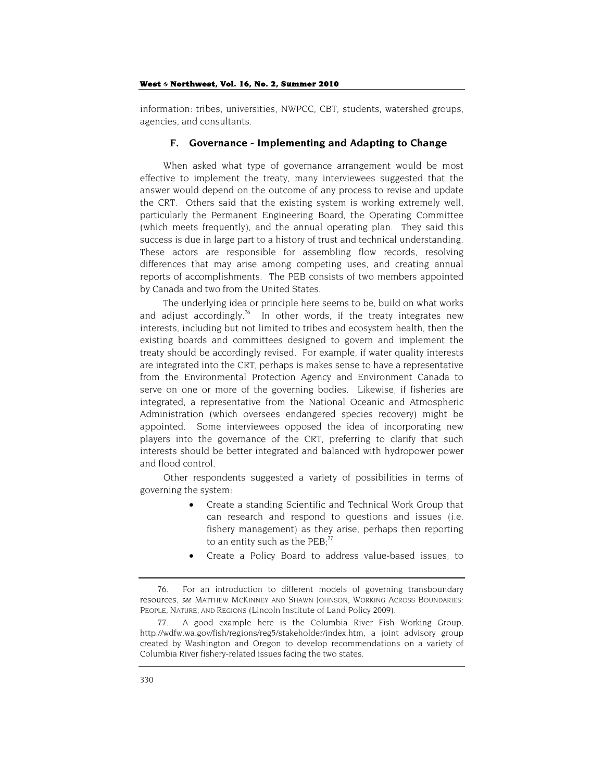information: tribes, universities, NWPCC, CBT, students, watershed groups, agencies, and consultants.

## **F. Governance - Implementing and Adapting to Change**

When asked what type of governance arrangement would be most effective to implement the treaty, many interviewees suggested that the answer would depend on the outcome of any process to revise and update the CRT. Others said that the existing system is working extremely well, particularly the Permanent Engineering Board, the Operating Committee (which meets frequently), and the annual operating plan. They said this success is due in large part to a history of trust and technical understanding. These actors are responsible for assembling flow records, resolving differences that may arise among competing uses, and creating annual reports of accomplishments. The PEB consists of two members appointed by Canada and two from the United States.

The underlying idea or principle here seems to be, build on what works and adjust accordingly.<sup>76</sup> In other words, if the treaty integrates new interests, including but not limited to tribes and ecosystem health, then the existing boards and committees designed to govern and implement the treaty should be accordingly revised. For example, if water quality interests are integrated into the CRT, perhaps is makes sense to have a representative from the Environmental Protection Agency and Environment Canada to serve on one or more of the governing bodies. Likewise, if fisheries are integrated, a representative from the National Oceanic and Atmospheric Administration (which oversees endangered species recovery) might be appointed. Some interviewees opposed the idea of incorporating new players into the governance of the CRT, preferring to clarify that such interests should be better integrated and balanced with hydropower power and flood control.

Other respondents suggested a variety of possibilities in terms of governing the system:

- Create a standing Scientific and Technical Work Group that can research and respond to questions and issues (i.e. fishery management) as they arise, perhaps then reporting to an entity such as the  $PEB$ : $77$
- Create a Policy Board to address value-based issues, to

<sup>76.</sup> For an introduction to different models of governing transboundary resources, *see* MATTHEW MCKINNEY AND SHAWN JOHNSON, WORKING ACROSS BOUNDARIES: PEOPLE, NATURE, AND REGIONS (Lincoln Institute of Land Policy 2009).

A good example here is the Columbia River Fish Working Group, http://wdfw.wa.gov/fish/regions/reg5/stakeholder/index.htm, a joint advisory group created by Washington and Oregon to develop recommendations on a variety of Columbia River fishery-related issues facing the two states.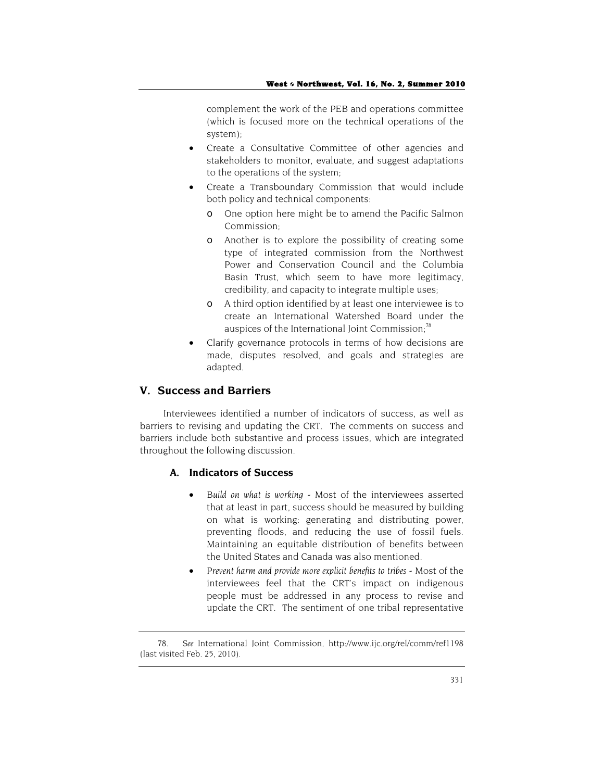complement the work of the PEB and operations committee (which is focused more on the technical operations of the system);

- Create a Consultative Committee of other agencies and stakeholders to monitor, evaluate, and suggest adaptations to the operations of the system;
- Create a Transboundary Commission that would include both policy and technical components:
	- o One option here might be to amend the Pacific Salmon Commission;
	- o Another is to explore the possibility of creating some type of integrated commission from the Northwest Power and Conservation Council and the Columbia Basin Trust, which seem to have more legitimacy, credibility, and capacity to integrate multiple uses;
	- o A third option identified by at least one interviewee is to create an International Watershed Board under the auspices of the International Joint Commission:<sup>78</sup>
- Clarify governance protocols in terms of how decisions are made, disputes resolved, and goals and strategies are adapted.

## **V. Success and Barriers**

Interviewees identified a number of indicators of success, as well as barriers to revising and updating the CRT. The comments on success and barriers include both substantive and process issues, which are integrated throughout the following discussion.

## **A. Indicators of Success**

- *Build on what is working* Most of the interviewees asserted that at least in part, success should be measured by building on what is working: generating and distributing power, preventing floods, and reducing the use of fossil fuels. Maintaining an equitable distribution of benefits between the United States and Canada was also mentioned.
- Prevent harm and provide more explicit benefits to tribes Most of the interviewees feel that the CRT's impact on indigenous people must be addressed in any process to revise and update the CRT. The sentiment of one tribal representative

<sup>78.</sup> *See* International Joint Commission, http://www.ijc.org/rel/comm/ref1198 (last visited Feb. 25, 2010).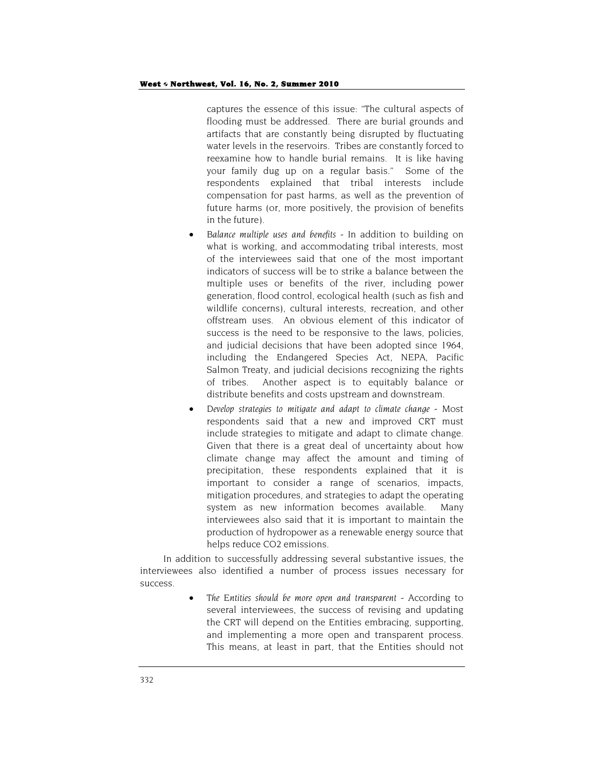captures the essence of this issue: "The cultural aspects of flooding must be addressed. There are burial grounds and artifacts that are constantly being disrupted by fluctuating water levels in the reservoirs. Tribes are constantly forced to reexamine how to handle burial remains. It is like having your family dug up on a regular basis." Some of the respondents explained that tribal interests include compensation for past harms, as well as the prevention of future harms (or, more positively, the provision of benefits in the future).

- *Balance multiple uses and benefits* In addition to building on what is working, and accommodating tribal interests, most of the interviewees said that one of the most important indicators of success will be to strike a balance between the multiple uses or benefits of the river, including power generation, flood control, ecological health (such as fish and wildlife concerns), cultural interests, recreation, and other offstream uses. An obvious element of this indicator of success is the need to be responsive to the laws, policies, and judicial decisions that have been adopted since 1964, including the Endangered Species Act, NEPA, Pacific Salmon Treaty, and judicial decisions recognizing the rights of tribes. Another aspect is to equitably balance or distribute benefits and costs upstream and downstream.
- *Develop strategies to mitigate and adapt to climate change* Most respondents said that a new and improved CRT must include strategies to mitigate and adapt to climate change. Given that there is a great deal of uncertainty about how climate change may affect the amount and timing of precipitation, these respondents explained that it is important to consider a range of scenarios, impacts, mitigation procedures, and strategies to adapt the operating system as new information becomes available. Many interviewees also said that it is important to maintain the production of hydropower as a renewable energy source that helps reduce CO2 emissions.

In addition to successfully addressing several substantive issues, the interviewees also identified a number of process issues necessary for success.

> • *The Entities should be more open and transparent* - According to several interviewees, the success of revising and updating the CRT will depend on the Entities embracing, supporting, and implementing a more open and transparent process. This means, at least in part, that the Entities should not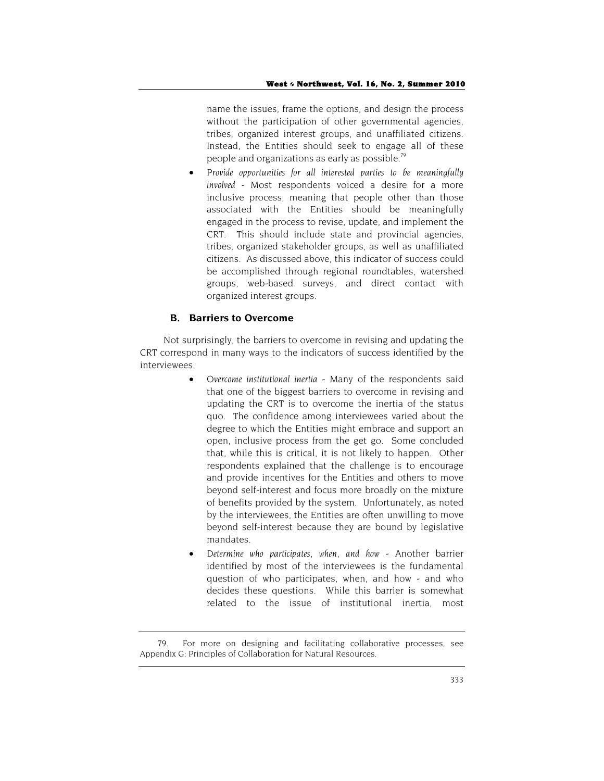name the issues, frame the options, and design the process without the participation of other governmental agencies, tribes, organized interest groups, and unaffiliated citizens. Instead, the Entities should seek to engage all of these people and organizations as early as possible.79

• *Provide opportunities for all interested parties to be meaningfully involved* - Most respondents voiced a desire for a more inclusive process, meaning that people other than those associated with the Entities should be meaningfully engaged in the process to revise, update, and implement the CRT. This should include state and provincial agencies, tribes, organized stakeholder groups, as well as unaffiliated citizens. As discussed above, this indicator of success could be accomplished through regional roundtables, watershed groups, web-based surveys, and direct contact with organized interest groups.

## **B. Barriers to Overcome**

Not surprisingly, the barriers to overcome in revising and updating the CRT correspond in many ways to the indicators of success identified by the interviewees.

- *Overcome institutional inertia* Many of the respondents said that one of the biggest barriers to overcome in revising and updating the CRT is to overcome the inertia of the status quo. The confidence among interviewees varied about the degree to which the Entities might embrace and support an open, inclusive process from the get go. Some concluded that, while this is critical, it is not likely to happen. Other respondents explained that the challenge is to encourage and provide incentives for the Entities and others to move beyond self-interest and focus more broadly on the mixture of benefits provided by the system. Unfortunately, as noted by the interviewees, the Entities are often unwilling to move beyond self-interest because they are bound by legislative mandates.
- *Determine who participates, when, and how*  Another barrier identified by most of the interviewees is the fundamental question of who participates, when, and how - and who decides these questions. While this barrier is somewhat related to the issue of institutional inertia, most

<sup>79.</sup> For more on designing and facilitating collaborative processes, see Appendix G: Principles of Collaboration for Natural Resources.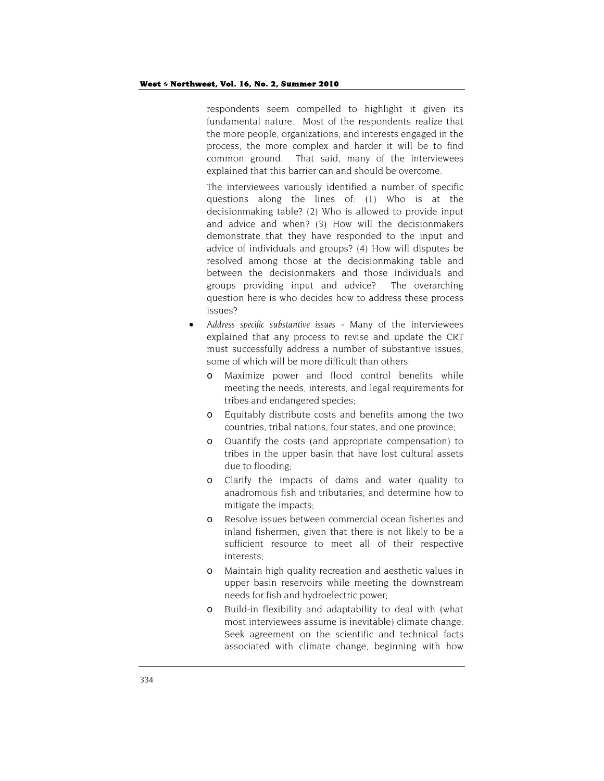respondents seem compelled to highlight it given its fundamental nature. Most of the respondents realize that the more people, organizations, and interests engaged in the process, the more complex and harder it will be to find common ground. That said, many of the interviewees explained that this barrier can and should be overcome.

The interviewees variously identified a number of specific questions along the lines of: (1) Who is at the decisionmaking table? (2) Who is allowed to provide input and advice and when? (3) How will the decisionmakers demonstrate that they have responded to the input and advice of individuals and groups? (4) How will disputes be resolved among those at the decisionmaking table and between the decisionmakers and those individuals and groups providing input and advice? The overarching question here is who decides how to address these process issues?

- *Address specific substantive issues* Many of the interviewees explained that any process to revise and update the CRT must successfully address a number of substantive issues, some of which will be more difficult than others:
	- o Maximize power and flood control benefits while meeting the needs, interests, and legal requirements for tribes and endangered species;
	- o Equitably distribute costs and benefits among the two countries, tribal nations, four states, and one province;
	- o Quantify the costs (and appropriate compensation) to tribes in the upper basin that have lost cultural assets due to flooding;
	- o Clarify the impacts of dams and water quality to anadromous fish and tributaries, and determine how to mitigate the impacts;
	- o Resolve issues between commercial ocean fisheries and inland fishermen, given that there is not likely to be a sufficient resource to meet all of their respective interests;
	- o Maintain high quality recreation and aesthetic values in upper basin reservoirs while meeting the downstream needs for fish and hydroelectric power;
	- o Build-in flexibility and adaptability to deal with (what most interviewees assume is inevitable) climate change. Seek agreement on the scientific and technical facts associated with climate change, beginning with how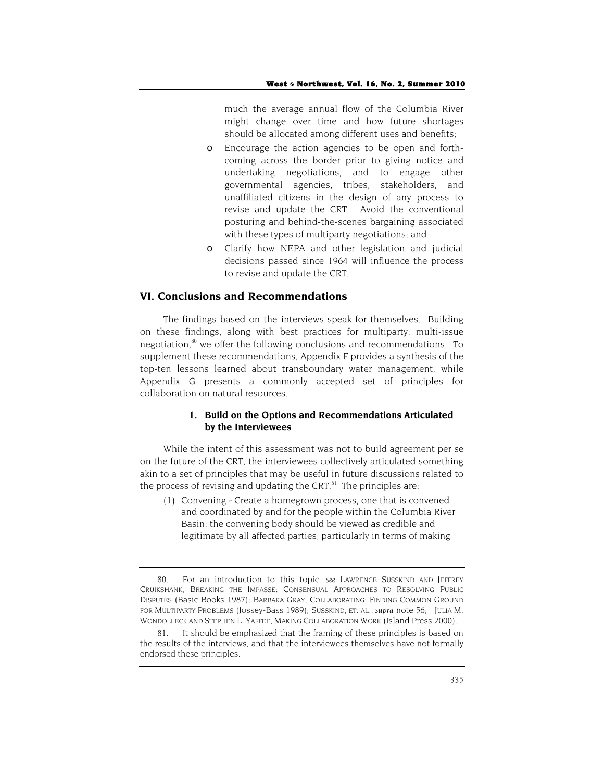much the average annual flow of the Columbia River might change over time and how future shortages should be allocated among different uses and benefits;

- o Encourage the action agencies to be open and forthcoming across the border prior to giving notice and undertaking negotiations, and to engage other governmental agencies, tribes, stakeholders, and unaffiliated citizens in the design of any process to revise and update the CRT. Avoid the conventional posturing and behind-the-scenes bargaining associated with these types of multiparty negotiations; and
- o Clarify how NEPA and other legislation and judicial decisions passed since 1964 will influence the process to revise and update the CRT.

## **VI. Conclusions and Recommendations**

The findings based on the interviews speak for themselves. Building on these findings, along with best practices for multiparty, multi-issue negotiation,<sup>80</sup> we offer the following conclusions and recommendations. To supplement these recommendations, Appendix F provides a synthesis of the top-ten lessons learned about transboundary water management, while Appendix G presents a commonly accepted set of principles for collaboration on natural resources.

## **1. Build on the Options and Recommendations Articulated by the Interviewees**

While the intent of this assessment was not to build agreement per se on the future of the CRT, the interviewees collectively articulated something akin to a set of principles that may be useful in future discussions related to the process of revising and updating the CRT. $81$  The principles are:

(1) Convening - Create a homegrown process, one that is convened and coordinated by and for the people within the Columbia River Basin; the convening body should be viewed as credible and legitimate by all affected parties, particularly in terms of making

<sup>80.</sup> For an introduction to this topic, *see* LAWRENCE SUSSKIND AND JEFFREY CRUIKSHANK, BREAKING THE IMPASSE: CONSENSUAL APPROACHES TO RESOLVING PUBLIC DISPUTES (Basic Books 1987); BARBARA GRAY, COLLABORATING: FINDING COMMON GROUND FOR MULTIPARTY PROBLEMS (Jossey-Bass 1989); SUSSKIND, ET. AL., *supra* note 56; JULIA M. WONDOLLECK AND STEPHEN L. YAFFEE, MAKING COLLABORATION WORK (Island Press 2000).

<sup>81.</sup> It should be emphasized that the framing of these principles is based on the results of the interviews, and that the interviewees themselves have not formally endorsed these principles.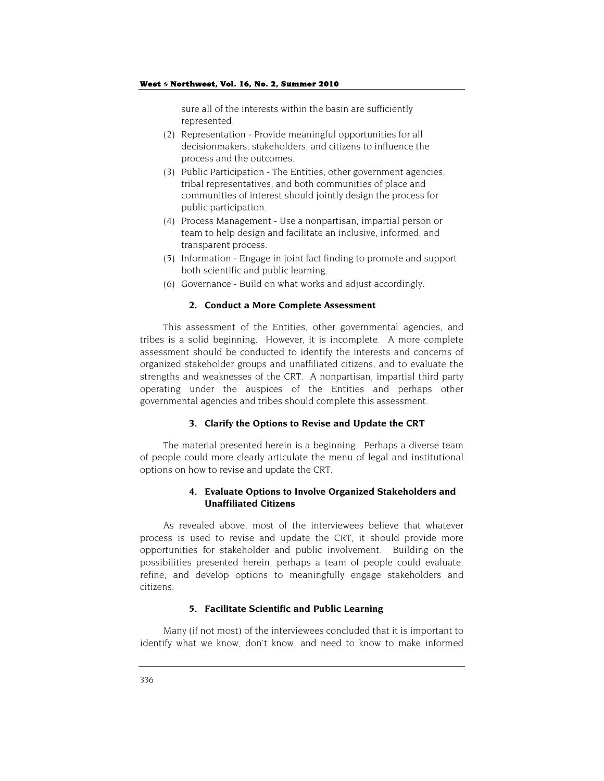sure all of the interests within the basin are sufficiently represented.

- (2) Representation Provide meaningful opportunities for all decisionmakers, stakeholders, and citizens to influence the process and the outcomes.
- (3) Public Participation The Entities, other government agencies, tribal representatives, and both communities of place and communities of interest should jointly design the process for public participation.
- (4) Process Management Use a nonpartisan, impartial person or team to help design and facilitate an inclusive, informed, and transparent process.
- (5) Information Engage in joint fact finding to promote and support both scientific and public learning.
- (6) Governance Build on what works and adjust accordingly.

#### **2. Conduct a More Complete Assessment**

This assessment of the Entities, other governmental agencies, and tribes is a solid beginning. However, it is incomplete. A more complete assessment should be conducted to identify the interests and concerns of organized stakeholder groups and unaffiliated citizens, and to evaluate the strengths and weaknesses of the CRT. A nonpartisan, impartial third party operating under the auspices of the Entities and perhaps other governmental agencies and tribes should complete this assessment.

#### **3. Clarify the Options to Revise and Update the CRT**

The material presented herein is a beginning. Perhaps a diverse team of people could more clearly articulate the menu of legal and institutional options on how to revise and update the CRT.

## **4. Evaluate Options to Involve Organized Stakeholders and Unaffiliated Citizens**

As revealed above, most of the interviewees believe that whatever process is used to revise and update the CRT, it should provide more opportunities for stakeholder and public involvement. Building on the possibilities presented herein, perhaps a team of people could evaluate, refine, and develop options to meaningfully engage stakeholders and citizens.

#### **5. Facilitate Scientific and Public Learning**

Many (if not most) of the interviewees concluded that it is important to identify what we know, don't know, and need to know to make informed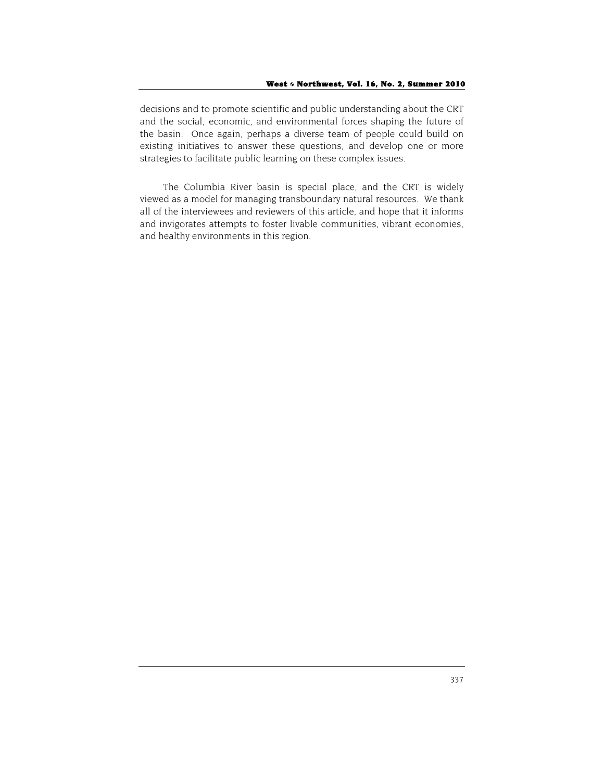decisions and to promote scientific and public understanding about the CRT and the social, economic, and environmental forces shaping the future of the basin. Once again, perhaps a diverse team of people could build on existing initiatives to answer these questions, and develop one or more strategies to facilitate public learning on these complex issues.

The Columbia River basin is special place, and the CRT is widely viewed as a model for managing transboundary natural resources. We thank all of the interviewees and reviewers of this article, and hope that it informs and invigorates attempts to foster livable communities, vibrant economies, and healthy environments in this region.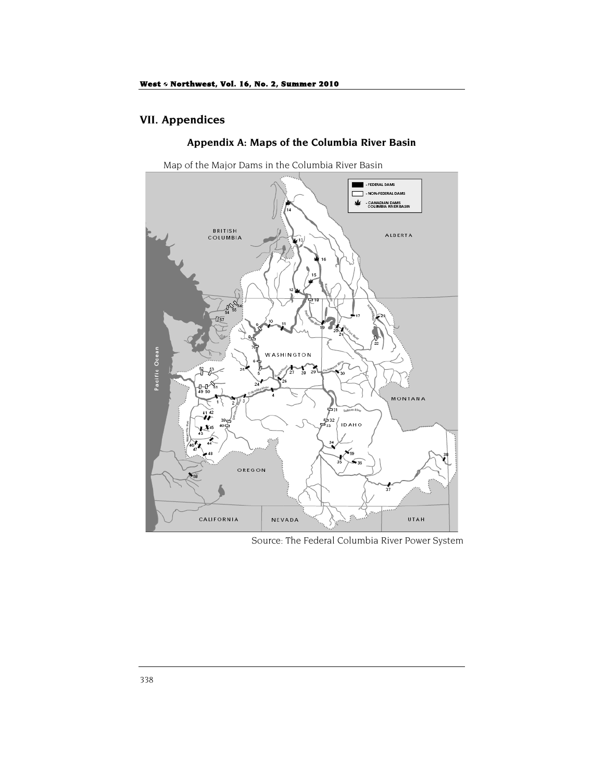# **VII. Appendices**

## **Appendix A: Maps of the Columbia River Basin**

Map of the Major Dams in the Columbia River Basin



Source: The Federal Columbia River Power System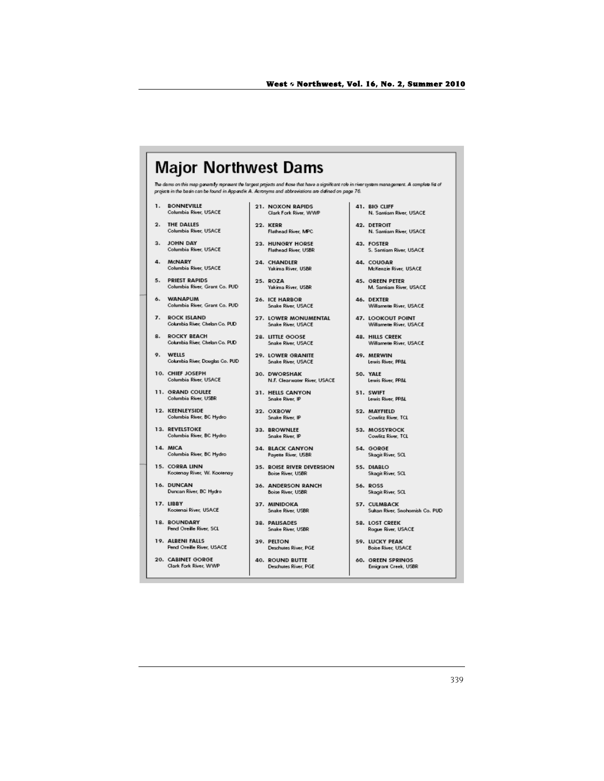| <b>Major Northwest Dams</b>                                                                                                                                                                                                                                 |                                 |                              |                                 |  |  |  |  |  |
|-------------------------------------------------------------------------------------------------------------------------------------------------------------------------------------------------------------------------------------------------------------|---------------------------------|------------------------------|---------------------------------|--|--|--|--|--|
| The dams on this map generally represent the largest projects and frose that have a significant role in river system management. A complete list of<br>projects in the basin can be found in Appendix A. Acronyms and abbreviations are defined on page 76. |                                 |                              |                                 |  |  |  |  |  |
| 1.                                                                                                                                                                                                                                                          | <b>BONNEVILLE</b>               | 21. NOXON RAPIDS             | 41. BIG CLIFF                   |  |  |  |  |  |
|                                                                                                                                                                                                                                                             | Columbia River, USACE           | Clark Fork River, WWP        | N. Santiam River, USACE         |  |  |  |  |  |
| 2.                                                                                                                                                                                                                                                          | THE DALLES                      | 22. KERR                     | 42. DETROIT                     |  |  |  |  |  |
|                                                                                                                                                                                                                                                             | Columbia River, USACE           | Flathead River, MPC          | N. Santiam River, USACE         |  |  |  |  |  |
| 3.                                                                                                                                                                                                                                                          | <b>JOHN DAY</b>                 | 23. HUNGRY HORSE             | 43. FOSTER                      |  |  |  |  |  |
|                                                                                                                                                                                                                                                             | Columbia River, USACE           | Flathead River, USBR         | S. Santiam River, USACE         |  |  |  |  |  |
| 4.                                                                                                                                                                                                                                                          | <b>MCNARY</b>                   | 24. CHANDLER                 | 44. COUGAR                      |  |  |  |  |  |
|                                                                                                                                                                                                                                                             | Columbia River, USACE           | Yakima River, USBR           | McKenzie River, USACE           |  |  |  |  |  |
| 5.                                                                                                                                                                                                                                                          | <b>PRIEST RAPIDS</b>            | 25. ROZA                     | <b>45. GREEN PETER</b>          |  |  |  |  |  |
|                                                                                                                                                                                                                                                             | Columbia River, Grant Co. PUD   | Yakima River, USBR           | M. Santiam River, USACE         |  |  |  |  |  |
| 6.                                                                                                                                                                                                                                                          | <b>WANAPUM</b>                  | 26. ICE HARBOR               | 46. DEXTER                      |  |  |  |  |  |
|                                                                                                                                                                                                                                                             | Columbia River, Grant Co. PUD   | Snake River, USACE           | Willamette River, USACE         |  |  |  |  |  |
| 7.                                                                                                                                                                                                                                                          | <b>ROCK ISLAND</b>              | 27. LOWER MONUMENTAL         | 47. LOOKOUT POINT               |  |  |  |  |  |
|                                                                                                                                                                                                                                                             | Columbia River, Chelan Co. PUD  | Snake River, USACE           | Willamette River, USACE         |  |  |  |  |  |
| 8.                                                                                                                                                                                                                                                          | <b>ROCKY REACH</b>              | 28. LITTLE GOOSE             | 48. HILLS CREEK                 |  |  |  |  |  |
|                                                                                                                                                                                                                                                             | Columbia River, Chelan Co. PUD  | Snake River, USACE           | Willamette River, USACE         |  |  |  |  |  |
| о.                                                                                                                                                                                                                                                          | WFILS                           | 29. LOWER GRANITE            | 49. MERWIN                      |  |  |  |  |  |
|                                                                                                                                                                                                                                                             | Columbia River, Douglas Co. PUD | Snake River, USACE           | Lewis River, PP&L               |  |  |  |  |  |
|                                                                                                                                                                                                                                                             | 10. CHIEF JOSEPH                | 30. DWORSHAK                 | 50. YALE                        |  |  |  |  |  |
|                                                                                                                                                                                                                                                             | Columbia River, USACE           | N.F. Clearwater River, USACE | Lewis River, PP&L               |  |  |  |  |  |
|                                                                                                                                                                                                                                                             | 11. GRAND COULEE                | 31. HELLS CANYON             | 51. SWIFT                       |  |  |  |  |  |
|                                                                                                                                                                                                                                                             | Columbia River, USBR            | Snake River, IP              | Lewis River, PP&L               |  |  |  |  |  |
|                                                                                                                                                                                                                                                             | 12. KEENLEYSIDE                 | 32. OXBOW                    | 52. MAYFIELD                    |  |  |  |  |  |
|                                                                                                                                                                                                                                                             | Columbia River, BC Hydro        | Snake River, IP              | Cowlitz River, TCL              |  |  |  |  |  |
|                                                                                                                                                                                                                                                             | 13. REVELSTOKE                  | 33. BROWNLEE                 | 53. MOSSYROCK                   |  |  |  |  |  |
|                                                                                                                                                                                                                                                             | Columbia River, BC Hydro        | Snake River, IP              | Cowlitz River, TCL              |  |  |  |  |  |
|                                                                                                                                                                                                                                                             | 14. MICA                        | 34. BLACK CANYON             | 54. GORGE                       |  |  |  |  |  |
|                                                                                                                                                                                                                                                             | Columbia River, BC Hydro        | Payette River, USBR          | Skagit River, SCL               |  |  |  |  |  |
|                                                                                                                                                                                                                                                             | 15. CORRA LINN                  | 35. BOISE RIVER DIVERSION    | 55. DIABLO                      |  |  |  |  |  |
|                                                                                                                                                                                                                                                             | Kootenay River, W. Kootenay     | Boise River, USBR            | Skagit River, SCL               |  |  |  |  |  |
|                                                                                                                                                                                                                                                             | 16. DUNCAN                      | 36. ANDERSON RANCH           | <b>56. ROSS</b>                 |  |  |  |  |  |
|                                                                                                                                                                                                                                                             | Duncan River, BC Hydro          | <b>Boise River, USBR</b>     | Skagit River, SCL               |  |  |  |  |  |
|                                                                                                                                                                                                                                                             | 17. LIBBY                       | 37. MINIDOKA                 | 57. CULMBACK                    |  |  |  |  |  |
|                                                                                                                                                                                                                                                             | Kootenai River, USACE           | Snake River, USBR            | Sultan River, Snohomish Co. PUD |  |  |  |  |  |
|                                                                                                                                                                                                                                                             | 18. BOUNDARY                    | 38. PALISADES                | 58. LOST CREEK                  |  |  |  |  |  |
|                                                                                                                                                                                                                                                             | Pend Oreille River, SCL         | Snake River, USBR            | Rogue River, USACE              |  |  |  |  |  |
|                                                                                                                                                                                                                                                             | 19. ALBENI FALLS                | 39. PELTON                   | 59. LUCKY PEAK                  |  |  |  |  |  |
|                                                                                                                                                                                                                                                             | Pend Oreille River, USACE       | Deschutes River, PGE         | <b>Boise River, USACE</b>       |  |  |  |  |  |
|                                                                                                                                                                                                                                                             | 20. CABINET GORGE               | 40. ROUND BUTTE              | 60. GREEN SPRINGS               |  |  |  |  |  |
|                                                                                                                                                                                                                                                             | Clark Fork River, WWP           | Deschutes River, PGE         | Emicrant Creek, USBR            |  |  |  |  |  |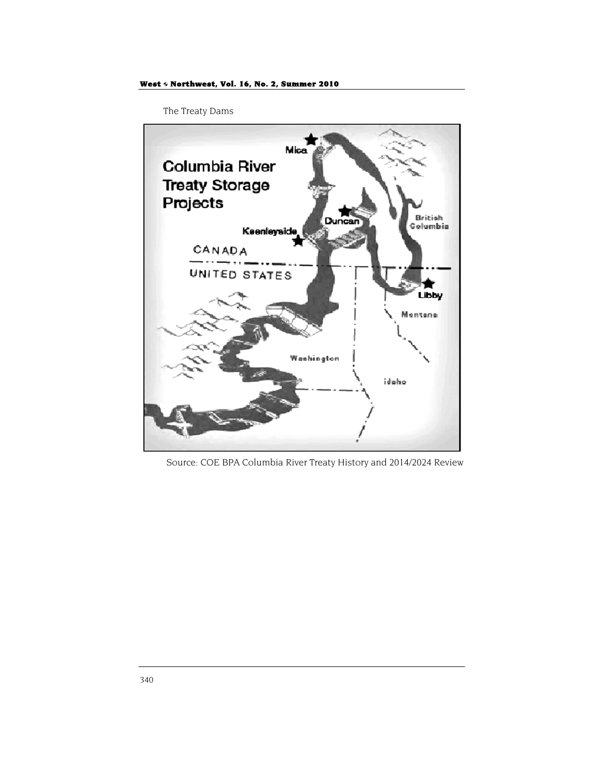The Treaty Dams



Source: COE BPA Columbia River Treaty History and 2014/2024 Review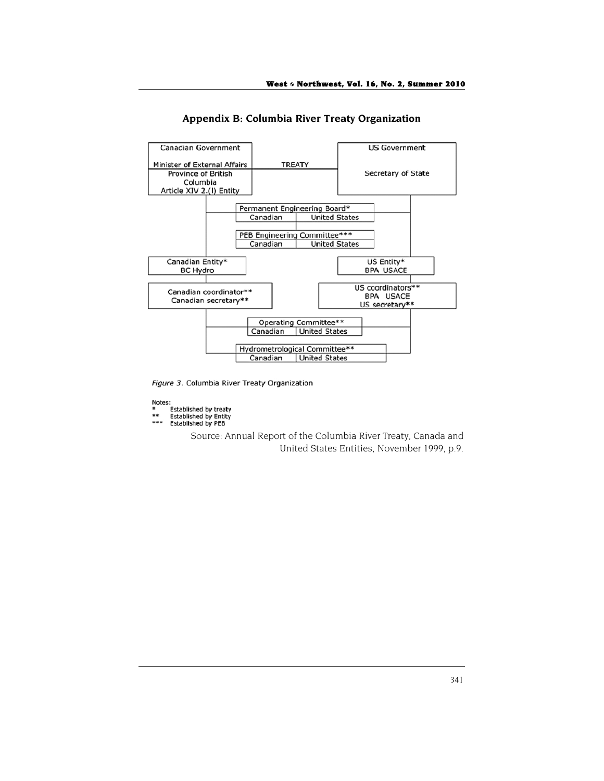

**Appendix B: Columbia River Treaty Organization** 

Figure 3. Columbia River Treaty Organization

Notes:<br>\*

- s.<br>Established by treaty<br>Established by Entity<br>Established by PEB
- $***$ \*\*\*

Source: Annual Report of the Columbia River Treaty, Canada and United States Entities, November 1999, p.9.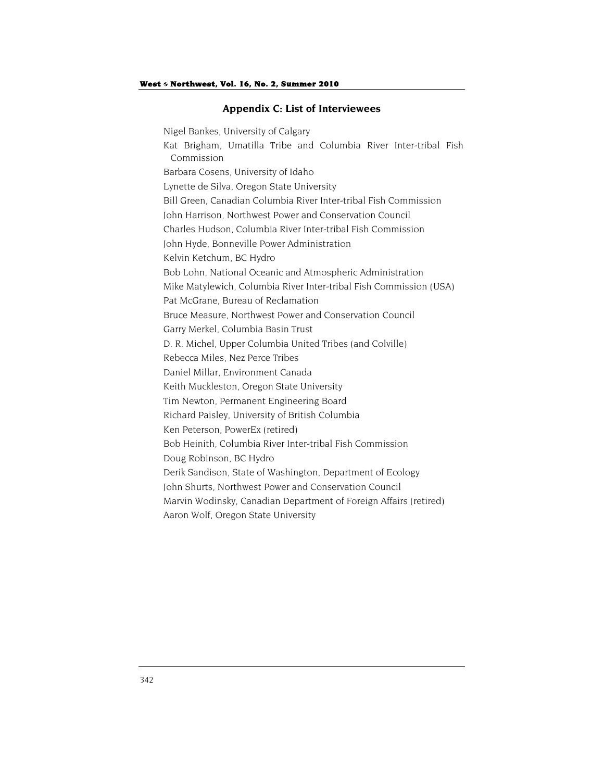## **Appendix C: List of Interviewees**

Nigel Bankes, University of Calgary Kat Brigham, Umatilla Tribe and Columbia River Inter-tribal Fish Commission Barbara Cosens, University of Idaho Lynette de Silva, Oregon State University Bill Green, Canadian Columbia River Inter-tribal Fish Commission John Harrison, Northwest Power and Conservation Council Charles Hudson, Columbia River Inter-tribal Fish Commission John Hyde, Bonneville Power Administration Kelvin Ketchum, BC Hydro Bob Lohn, National Oceanic and Atmospheric Administration Mike Matylewich, Columbia River Inter-tribal Fish Commission (USA) Pat McGrane, Bureau of Reclamation Bruce Measure, Northwest Power and Conservation Council Garry Merkel, Columbia Basin Trust D. R. Michel, Upper Columbia United Tribes (and Colville) Rebecca Miles, Nez Perce Tribes Daniel Millar, Environment Canada Keith Muckleston, Oregon State University Tim Newton, Permanent Engineering Board Richard Paisley, University of British Columbia Ken Peterson, PowerEx (retired) Bob Heinith, Columbia River Inter-tribal Fish Commission Doug Robinson, BC Hydro Derik Sandison, State of Washington, Department of Ecology John Shurts, Northwest Power and Conservation Council Marvin Wodinsky, Canadian Department of Foreign Affairs (retired) Aaron Wolf, Oregon State University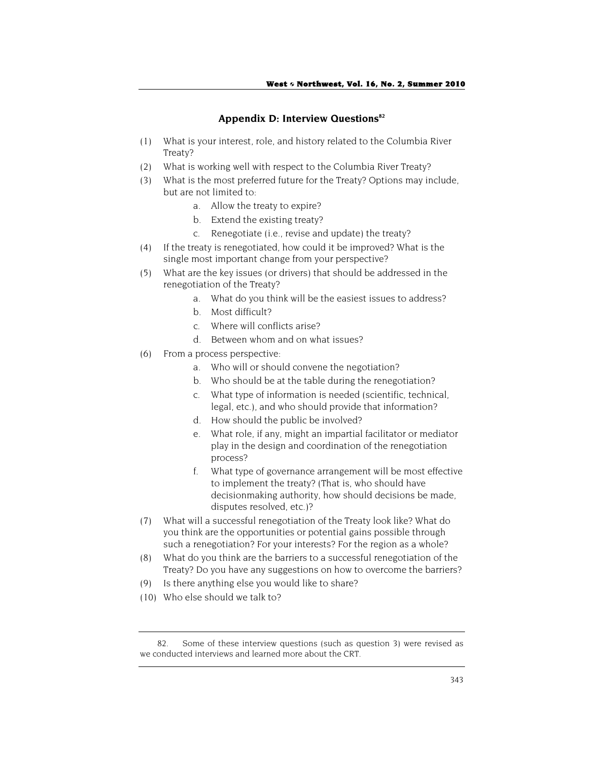#### Appendix D: Interview Questions<sup>82</sup>

- (1) What is your interest, role, and history related to the Columbia River Treaty?
- (2) What is working well with respect to the Columbia River Treaty?
- (3) What is the most preferred future for the Treaty? Options may include, but are not limited to:
	- a. Allow the treaty to expire?
	- b. Extend the existing treaty?
	- c. Renegotiate (i.e., revise and update) the treaty?
- (4) If the treaty is renegotiated, how could it be improved? What is the single most important change from your perspective?
- (5) What are the key issues (or drivers) that should be addressed in the renegotiation of the Treaty?
	- a. What do you think will be the easiest issues to address?
	- b. Most difficult?
	- c. Where will conflicts arise?
	- d. Between whom and on what issues?
- (6) From a process perspective:
	- a. Who will or should convene the negotiation?
	- b. Who should be at the table during the renegotiation?
	- c. What type of information is needed (scientific, technical, legal, etc.), and who should provide that information?
	- d. How should the public be involved?
	- e. What role, if any, might an impartial facilitator or mediator play in the design and coordination of the renegotiation process?
	- f. What type of governance arrangement will be most effective to implement the treaty? (That is, who should have decisionmaking authority, how should decisions be made, disputes resolved, etc.)?
- (7) What will a successful renegotiation of the Treaty look like? What do you think are the opportunities or potential gains possible through such a renegotiation? For your interests? For the region as a whole?
- (8) What do you think are the barriers to a successful renegotiation of the Treaty? Do you have any suggestions on how to overcome the barriers?
- (9) Is there anything else you would like to share?
- (10) Who else should we talk to?

<sup>82.</sup> Some of these interview questions (such as question 3) were revised as we conducted interviews and learned more about the CRT.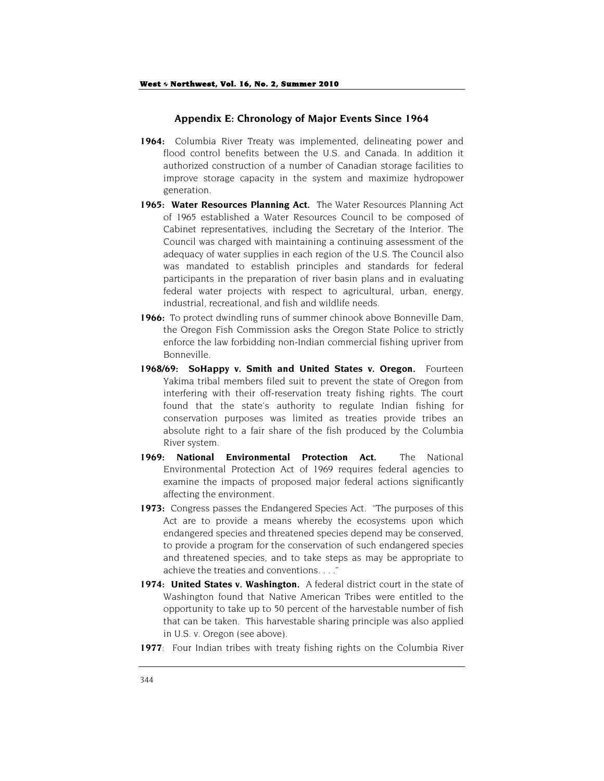## **Appendix E: Chronology of Major Events Since 1964**

- **1964:** Columbia River Treaty was implemented, delineating power and flood control benefits between the U.S. and Canada. In addition it authorized construction of a number of Canadian storage facilities to improve storage capacity in the system and maximize hydropower generation.
- 1965: Water Resources Planning Act. The Water Resources Planning Act of 1965 established a Water Resources Council to be composed of Cabinet representatives, including the Secretary of the Interior. The Council was charged with maintaining a continuing assessment of the adequacy of water supplies in each region of the U.S. The Council also was mandated to establish principles and standards for federal participants in the preparation of river basin plans and in evaluating federal water projects with respect to agricultural, urban, energy, industrial, recreational, and fish and wildlife needs.
- **1966:** To protect dwindling runs of summer chinook above Bonneville Dam, the Oregon Fish Commission asks the Oregon State Police to strictly enforce the law forbidding non-Indian commercial fishing upriver from Bonneville.
- **1968/69: SoHappy v. Smith and United States v. Oregon.** Fourteen Yakima tribal members filed suit to prevent the state of Oregon from interfering with their off-reservation treaty fishing rights. The court found that the state's authority to regulate Indian fishing for conservation purposes was limited as treaties provide tribes an absolute right to a fair share of the fish produced by the Columbia River system.
- **1969: National Environmental Protection Act.** The National Environmental Protection Act of 1969 requires federal agencies to examine the impacts of proposed major federal actions significantly affecting the environment.
- **1973:** Congress passes the Endangered Species Act. "The purposes of this Act are to provide a means whereby the ecosystems upon which endangered species and threatened species depend may be conserved, to provide a program for the conservation of such endangered species and threatened species, and to take steps as may be appropriate to achieve the treaties and conventions. . . ."
- **1974: United States v. Washington.** A federal district court in the state of Washington found that Native American Tribes were entitled to the opportunity to take up to 50 percent of the harvestable number of fish that can be taken. This harvestable sharing principle was also applied in U.S. v. Oregon (see above).
- **1977**: Four Indian tribes with treaty fishing rights on the Columbia River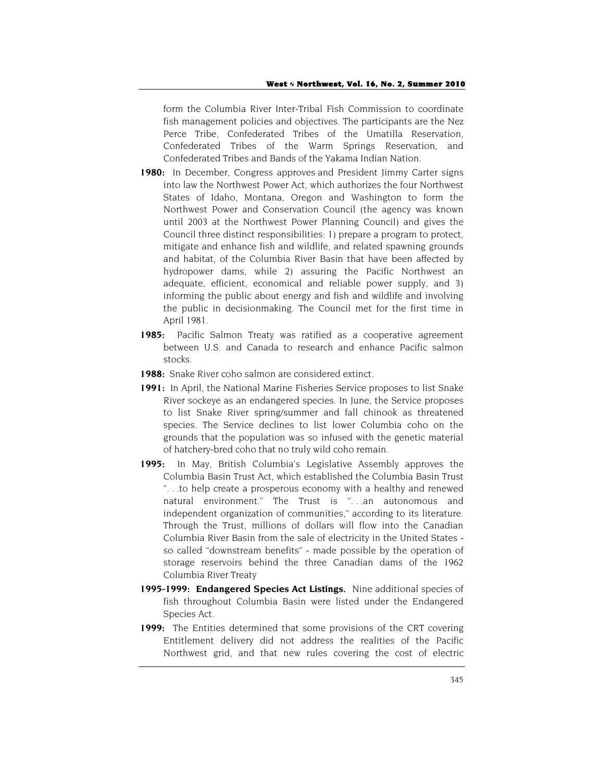form the Columbia River Inter-Tribal Fish Commission to coordinate fish management policies and objectives. The participants are the Nez Perce Tribe, Confederated Tribes of the Umatilla Reservation, Confederated Tribes of the Warm Springs Reservation, and Confederated Tribes and Bands of the Yakama Indian Nation.

- **1980:** In December, Congress approves and President Jimmy Carter signs into law the Northwest Power Act, which authorizes the four Northwest States of Idaho, Montana, Oregon and Washington to form the Northwest Power and Conservation Council (the agency was known until 2003 at the Northwest Power Planning Council) and gives the Council three distinct responsibilities: 1) prepare a program to protect, mitigate and enhance fish and wildlife, and related spawning grounds and habitat, of the Columbia River Basin that have been affected by hydropower dams, while 2) assuring the Pacific Northwest an adequate, efficient, economical and reliable power supply, and 3) informing the public about energy and fish and wildlife and involving the public in decisionmaking. The Council met for the first time in April 1981.
- 1985: Pacific Salmon Treaty was ratified as a cooperative agreement between U.S. and Canada to research and enhance Pacific salmon stocks.
- **1988:** Snake River coho salmon are considered extinct.
- **1991:** In April, the National Marine Fisheries Service proposes to list Snake River sockeye as an endangered species. In June, the Service proposes to list Snake River spring/summer and fall chinook as threatened species. The Service declines to list lower Columbia coho on the grounds that the population was so infused with the genetic material of hatchery-bred coho that no truly wild coho remain.
- **1995:** In May, British Columbia's Legislative Assembly approves the Columbia Basin Trust Act, which established the Columbia Basin Trust ". . .to help create a prosperous economy with a healthy and renewed natural environment." The Trust is ". . .an autonomous and independent organization of communities," according to its literature. Through the Trust, millions of dollars will flow into the Canadian Columbia River Basin from the sale of electricity in the United States so called "downstream benefits" - made possible by the operation of storage reservoirs behind the three Canadian dams of the 1962 Columbia River Treaty
- **1995-1999: Endangered Species Act Listings.** Nine additional species of fish throughout Columbia Basin were listed under the Endangered Species Act.
- **1999:** The Entities determined that some provisions of the CRT covering Entitlement delivery did not address the realities of the Pacific Northwest grid, and that new rules covering the cost of electric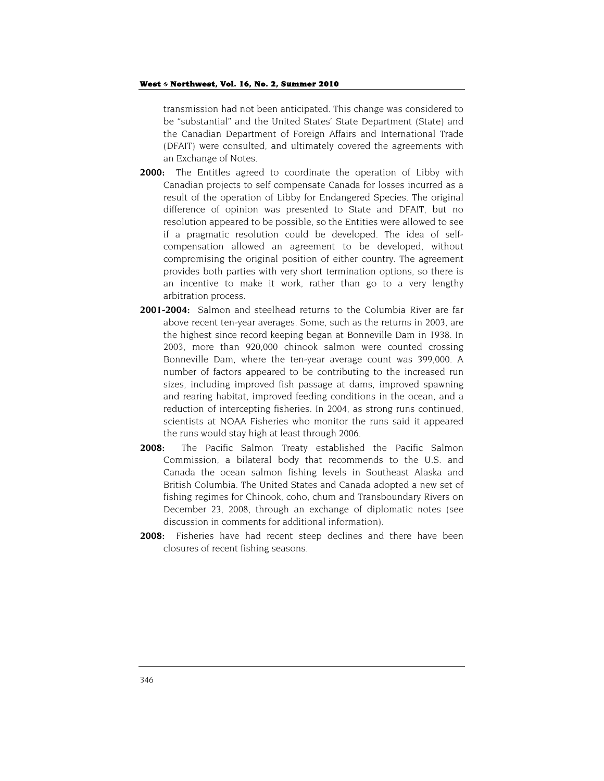transmission had not been anticipated. This change was considered to be "substantial" and the United States' State Department (State) and the Canadian Department of Foreign Affairs and International Trade (DFAIT) were consulted, and ultimately covered the agreements with an Exchange of Notes.

- **2000:** The Entitles agreed to coordinate the operation of Libby with Canadian projects to self compensate Canada for losses incurred as a result of the operation of Libby for Endangered Species. The original difference of opinion was presented to State and DFAIT, but no resolution appeared to be possible, so the Entities were allowed to see if a pragmatic resolution could be developed. The idea of selfcompensation allowed an agreement to be developed, without compromising the original position of either country. The agreement provides both parties with very short termination options, so there is an incentive to make it work, rather than go to a very lengthy arbitration process.
- **2001-2004:** Salmon and steelhead returns to the Columbia River are far above recent ten-year averages. Some, such as the returns in 2003, are the highest since record keeping began at Bonneville Dam in 1938. In 2003, more than 920,000 chinook salmon were counted crossing Bonneville Dam, where the ten-year average count was 399,000. A number of factors appeared to be contributing to the increased run sizes, including improved fish passage at dams, improved spawning and rearing habitat, improved feeding conditions in the ocean, and a reduction of intercepting fisheries. In 2004, as strong runs continued, scientists at NOAA Fisheries who monitor the runs said it appeared the runs would stay high at least through 2006.
- **2008:** The Pacific Salmon Treaty established the Pacific Salmon Commission, a bilateral body that recommends to the U.S. and Canada the ocean salmon fishing levels in Southeast Alaska and British Columbia. The United States and Canada adopted a new set of fishing regimes for Chinook, coho, chum and Transboundary Rivers on December 23, 2008, through an exchange of diplomatic notes (see discussion in comments for additional information).
- **2008:** Fisheries have had recent steep declines and there have been closures of recent fishing seasons.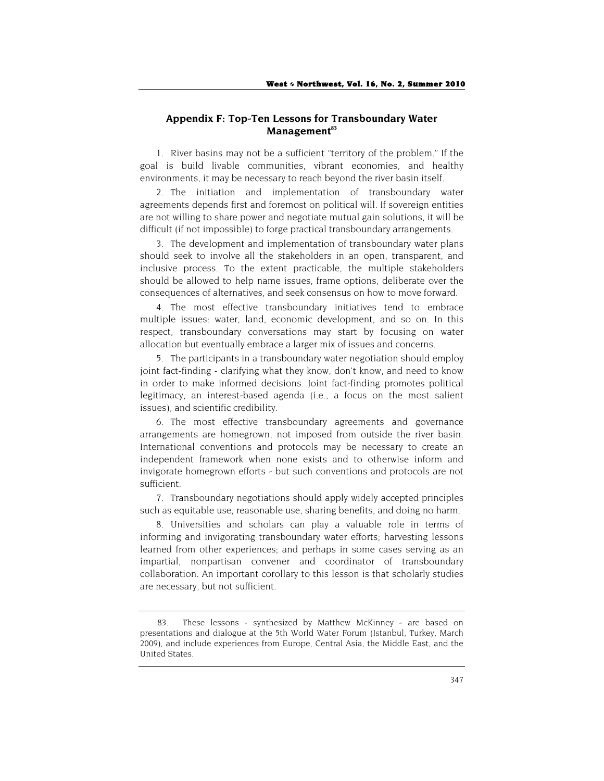## **Appendix F: Top-Ten Lessons for Transboundary Water**  Management<sup>83</sup>

1. River basins may not be a sufficient "territory of the problem." If the goal is build livable communities, vibrant economies, and healthy environments, it may be necessary to reach beyond the river basin itself.

2. The initiation and implementation of transboundary water agreements depends first and foremost on political will. If sovereign entities are not willing to share power and negotiate mutual gain solutions, it will be difficult (if not impossible) to forge practical transboundary arrangements.

3. The development and implementation of transboundary water plans should seek to involve all the stakeholders in an open, transparent, and inclusive process. To the extent practicable, the multiple stakeholders should be allowed to help name issues, frame options, deliberate over the consequences of alternatives, and seek consensus on how to move forward.

4. The most effective transboundary initiatives tend to embrace multiple issues: water, land, economic development, and so on. In this respect, transboundary conversations may start by focusing on water allocation but eventually embrace a larger mix of issues and concerns.

5. The participants in a transboundary water negotiation should employ joint fact-finding - clarifying what they know, don't know, and need to know in order to make informed decisions. Joint fact-finding promotes political legitimacy, an interest-based agenda (i.e., a focus on the most salient issues), and scientific credibility.

6. The most effective transboundary agreements and governance arrangements are homegrown, not imposed from outside the river basin. International conventions and protocols may be necessary to create an independent framework when none exists and to otherwise inform and invigorate homegrown efforts - but such conventions and protocols are not sufficient.

7. Transboundary negotiations should apply widely accepted principles such as equitable use, reasonable use, sharing benefits, and doing no harm.

8. Universities and scholars can play a valuable role in terms of informing and invigorating transboundary water efforts; harvesting lessons learned from other experiences; and perhaps in some cases serving as an impartial, nonpartisan convener and coordinator of transboundary collaboration. An important corollary to this lesson is that scholarly studies are necessary, but not sufficient.

<sup>83.</sup> These lessons - synthesized by Matthew McKinney - are based on presentations and dialogue at the 5th World Water Forum (Istanbul, Turkey, March 2009), and include experiences from Europe, Central Asia, the Middle East, and the United States.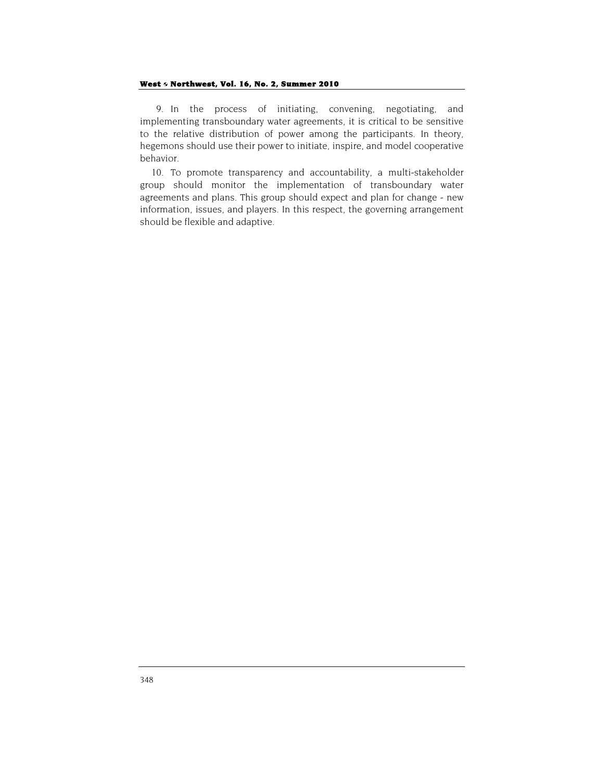9. In the process of initiating, convening, negotiating, and implementing transboundary water agreements, it is critical to be sensitive to the relative distribution of power among the participants. In theory, hegemons should use their power to initiate, inspire, and model cooperative behavior.

10. To promote transparency and accountability, a multi-stakeholder group should monitor the implementation of transboundary water agreements and plans. This group should expect and plan for change - new information, issues, and players. In this respect, the governing arrangement should be flexible and adaptive.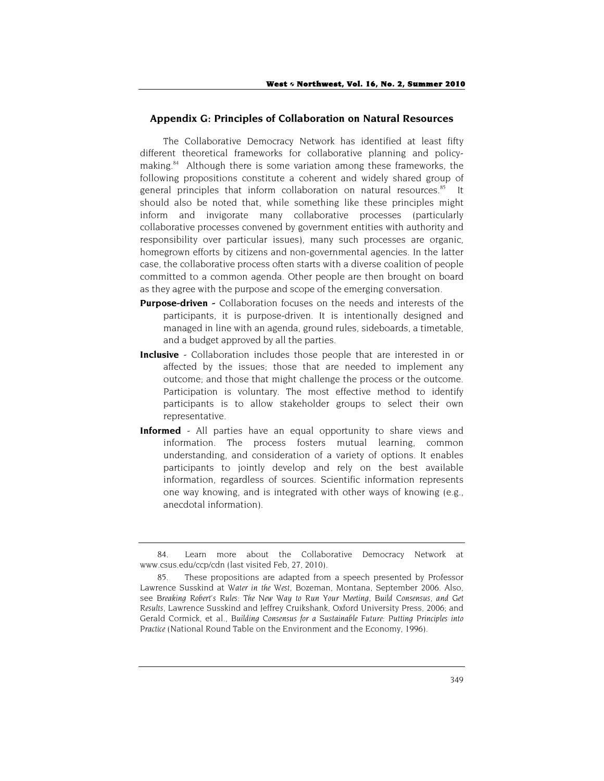## **Appendix G: Principles of Collaboration on Natural Resources**

The Collaborative Democracy Network has identified at least fifty different theoretical frameworks for collaborative planning and policymaking.<sup>84</sup> Although there is some variation among these frameworks, the following propositions constitute a coherent and widely shared group of general principles that inform collaboration on natural resources.<sup>85</sup> It should also be noted that, while something like these principles might inform and invigorate many collaborative processes (particularly collaborative processes convened by government entities with authority and responsibility over particular issues), many such processes are organic, homegrown efforts by citizens and non-governmental agencies. In the latter case, the collaborative process often starts with a diverse coalition of people committed to a common agenda. Other people are then brought on board as they agree with the purpose and scope of the emerging conversation.

- **Purpose-driven** Collaboration focuses on the needs and interests of the participants, it is purpose-driven. It is intentionally designed and managed in line with an agenda, ground rules, sideboards, a timetable, and a budget approved by all the parties.
- **Inclusive** Collaboration includes those people that are interested in or affected by the issues; those that are needed to implement any outcome; and those that might challenge the process or the outcome. Participation is voluntary. The most effective method to identify participants is to allow stakeholder groups to select their own representative.
- **Informed** All parties have an equal opportunity to share views and information. The process fosters mutual learning, common understanding, and consideration of a variety of options. It enables participants to jointly develop and rely on the best available information, regardless of sources. Scientific information represents one way knowing, and is integrated with other ways of knowing (e.g., anecdotal information).

<sup>84.</sup> Learn more about the Collaborative Democracy Network at www.csus.edu/ccp/cdn (last visited Feb, 27, 2010).

<sup>85.</sup> These propositions are adapted from a speech presented by Professor Lawrence Susskind at *Water in the West*, Bozeman, Montana, September 2006. Also, see *Breaking Robert's Rules: The New Way to Run Your Meeting, Build Consensus, and Get Results,* Lawrence Susskind and Jeffrey Cruikshank, Oxford University Press, 2006; and Gerald Cormick, et al., *Building Consensus for a Sustainable Future: Putting Principles into Practice* (National Round Table on the Environment and the Economy, 1996).